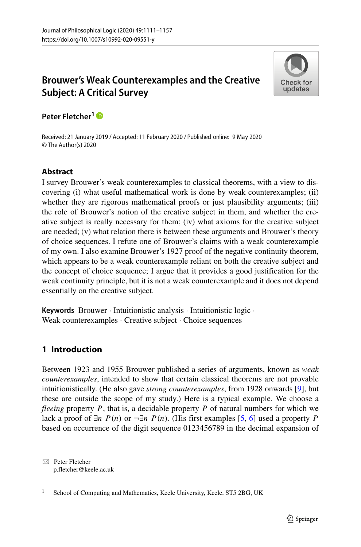# **Brouwer's Weak Counterexamples and the Creative Subject: A Critical Survey**



**Peter Fletcher<sup>1</sup>**

Received: 21 January 2019 / Accepted: 11 February 2020 / Published online: 9 May 2020© The Author(s) 2020

# **Abstract**

I survey Brouwer's weak counterexamples to classical theorems, with a view to discovering (i) what useful mathematical work is done by weak counterexamples; (ii) whether they are rigorous mathematical proofs or just plausibility arguments; (iii) the role of Brouwer's notion of the creative subject in them, and whether the creative subject is really necessary for them; (iv) what axioms for the creative subject are needed; (v) what relation there is between these arguments and Brouwer's theory of choice sequences. I refute one of Brouwer's claims with a weak counterexample of my own. I also examine Brouwer's 1927 proof of the negative continuity theorem, which appears to be a weak counterexample reliant on both the creative subject and the concept of choice sequence; I argue that it provides a good justification for the weak continuity principle, but it is not a weak counterexample and it does not depend essentially on the creative subject.

**Keywords** Brouwer · Intuitionistic analysis · Intuitionistic logic · Weak counterexamples · Creative subject · Choice sequences

# **1 Introduction**

Between 1923 and 1955 Brouwer published a series of arguments, known as *weak counterexamples*, intended to show that certain classical theorems are not provable intuitionistically. (He also gave *strong counterexamples*, from 1928 onwards [\[9\]](#page-44-0), but these are outside the scope of my study.) Here is a typical example. We choose a *fleeing* property *P*, that is, a decidable property *P* of natural numbers for which we lack a proof of  $\exists n \ P(n)$  or  $\neg \exists n \ P(n)$ . (His first examples [\[5,](#page-44-1) [6\]](#page-44-2) used a property *P* based on occurrence of the digit sequence 0123456789 in the decimal expansion of

<sup>-</sup> Peter Fletcher [p.fletcher@keele.ac.uk](mailto: p.fletcher@keele.ac.uk)

<sup>&</sup>lt;sup>1</sup> School of Computing and Mathematics, Keele University, Keele, ST5 2BG, UK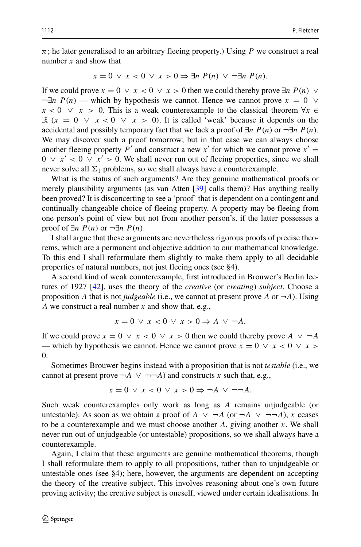$\pi$ ; he later generalised to an arbitrary fleeing property.) Using *P* we construct a real number *x* and show that

$$
x = 0 \lor x < 0 \lor x > 0 \Rightarrow \exists n \; P(n) \lor \neg \exists n \; P(n).
$$

If we could prove  $x = 0 \lor x < 0 \lor x > 0$  then we could thereby prove  $\exists n \ P(n) \lor x > 0$ ¬∃*n P(n)* — which by hypothesis we cannot. Hence we cannot prove *x* = 0 ∨  $x < 0 \lor x > 0$ . This is a weak counterexample to the classical theorem  $\forall x \in$  $\mathbb{R}$  (x = 0 ∨ x < 0 ∨ x > 0). It is called 'weak' because it depends on the accidental and possibly temporary fact that we lack a proof of ∃*n P(n)* or ¬∃*n P(n)*. We may discover such a proof tomorrow; but in that case we can always choose another fleeing property  $P'$  and construct a new  $x'$  for which we cannot prove  $x' =$  $0 \lor x' < 0 \lor x' > 0$ . We shall never run out of fleeing properties, since we shall never solve all  $\Sigma_1$  problems, so we shall always have a counterexample.

What is the status of such arguments? Are they genuine mathematical proofs or merely plausibility arguments (as van Atten [\[39\]](#page-45-0) calls them)? Has anything really been proved? It is disconcerting to see a 'proof' that is dependent on a contingent and continually changeable choice of fleeing property. A property may be fleeing from one person's point of view but not from another person's, if the latter possesses a proof of  $\exists n \ P(n)$  or  $\neg \exists n \ P(n)$ .

I shall argue that these arguments are nevertheless rigorous proofs of precise theorems, which are a permanent and objective addition to our mathematical knowledge. To this end I shall reformulate them slightly to make them apply to all decidable properties of natural numbers, not just fleeing ones (see §4).

A second kind of weak counterexample, first introduced in Brouwer's Berlin lectures of 1927 [\[42\]](#page-46-0), uses the theory of the *creative* (or *creating*) *subject*. Choose a proposition *A* that is not *judgeable* (i.e., we cannot at present prove *A* or  $\neg A$ ). Using *A* we construct a real number *x* and show that, e.g.,

$$
x = 0 \lor x < 0 \lor x > 0 \Rightarrow A \lor \neg A.
$$

If we could prove  $x = 0 \lor x < 0 \lor x > 0$  then we could thereby prove  $A \lor \neg A$ — which by hypothesis we cannot. Hence we cannot prove  $x = 0 \lor x < 0 \lor x >$ 0.

Sometimes Brouwer begins instead with a proposition that is not *testable* (i.e., we cannot at present prove  $\neg A \lor \neg \neg A$  and constructs *x* such that, e.g.,

$$
x = 0 \lor x < 0 \lor x > 0 \Rightarrow \neg A \lor \neg \neg A.
$$

Such weak counterexamples only work as long as *A* remains unjudgeable (or untestable). As soon as we obtain a proof of  $A \lor \neg A$  (or  $\neg A \lor \neg \neg A$ ), *x* ceases to be a counterexample and we must choose another *A*, giving another *x*. We shall never run out of unjudgeable (or untestable) propositions, so we shall always have a counterexample.

Again, I claim that these arguments are genuine mathematical theorems, though I shall reformulate them to apply to all propositions, rather than to unjudgeable or untestable ones (see §4); here, however, the arguments are dependent on accepting the theory of the creative subject. This involves reasoning about one's own future proving activity; the creative subject is oneself, viewed under certain idealisations. In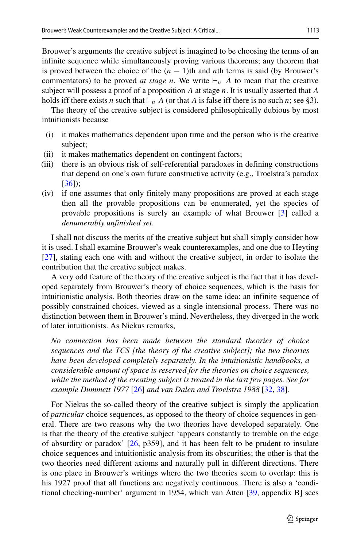Brouwer's arguments the creative subject is imagined to be choosing the terms of an infinite sequence while simultaneously proving various theorems; any theorem that is proved between the choice of the  $(n - 1)$ th and *n*th terms is said (by Brouwer's commentators) to be proved *at stage n*. We write  $\vdash_n A$  to mean that the creative subject will possess a proof of a proposition *A* at stage *n*. It is usually asserted that *A* holds iff there exists *n* such that  $\vdash_n A$  (or that *A* is false iff there is no such *n*; see §3).

The theory of the creative subject is considered philosophically dubious by most intuitionists because

- (i) it makes mathematics dependent upon time and the person who is the creative subject;
- (ii) it makes mathematics dependent on contingent factors;
- (iii) there is an obvious risk of self-referential paradoxes in defining constructions that depend on one's own future constructive activity (e.g., Troelstra's paradox [\[36\]](#page-45-1));
- (iv) if one assumes that only finitely many propositions are proved at each stage then all the provable propositions can be enumerated, yet the species of provable propositions is surely an example of what Brouwer [\[3\]](#page-44-3) called a *denumerably unfinished set*.

I shall not discuss the merits of the creative subject but shall simply consider how it is used. I shall examine Brouwer's weak counterexamples, and one due to Heyting [\[27\]](#page-45-2), stating each one with and without the creative subject, in order to isolate the contribution that the creative subject makes.

A very odd feature of the theory of the creative subject is the fact that it has developed separately from Brouwer's theory of choice sequences, which is the basis for intuitionistic analysis. Both theories draw on the same idea: an infinite sequence of possibly constrained choices, viewed as a single intensional process. There was no distinction between them in Brouwer's mind. Nevertheless, they diverged in the work of later intuitionists. As Niekus remarks,

*No connection has been made between the standard theories of choice sequences and the TCS [the theory of the creative subject]; the two theories have been developed completely separately. In the intuitionistic handbooks, a considerable amount of space is reserved for the theories on choice sequences, while the method of the creating subject is treated in the last few pages. See for example Dummett 1977* [\[26\]](#page-45-3) *and van Dalen and Troelstra 1988* [\[32,](#page-45-4) [38\]](#page-45-5)*.*

For Niekus the so-called theory of the creative subject is simply the application of *particular* choice sequences, as opposed to the theory of choice sequences in general. There are two reasons why the two theories have developed separately. One is that the theory of the creative subject 'appears constantly to tremble on the edge of absurdity or paradox' [\[26,](#page-45-3) p359], and it has been felt to be prudent to insulate choice sequences and intuitionistic analysis from its obscurities; the other is that the two theories need different axioms and naturally pull in different directions. There is one place in Brouwer's writings where the two theories seem to overlap: this is his 1927 proof that all functions are negatively continuous. There is also a 'conditional checking-number' argument in 1954, which van Atten [\[39,](#page-45-0) appendix B] sees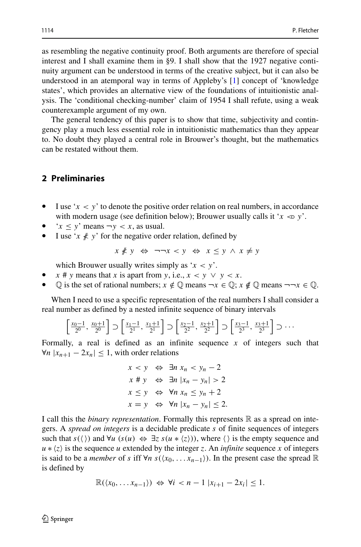as resembling the negative continuity proof. Both arguments are therefore of special interest and I shall examine them in §9. I shall show that the 1927 negative continuity argument can be understood in terms of the creative subject, but it can also be understood in an atemporal way in terms of Appleby's [\[1\]](#page-44-4) concept of 'knowledge states', which provides an alternative view of the foundations of intuitionistic analysis. The 'conditional checking-number' claim of 1954 I shall refute, using a weak counterexample argument of my own.

The general tendency of this paper is to show that time, subjectivity and contingency play a much less essential role in intuitionistic mathematics than they appear to. No doubt they played a central role in Brouwer's thought, but the mathematics can be restated without them.

### **2 Preliminaries**

- I use ' $x < y$ ' to denote the positive order relation on real numbers, in accordance with modern usage (see definition below); Brouwer usually calls it ' $x \ll y$ '.
- $x \leq y'$  means  $\neg y < x$ , as usual.
- I use ' $x \not\equiv y$ ' for the negative order relation, defined by

$$
x \nleftrightarrow y \Leftrightarrow \neg\neg x < y \Leftrightarrow x \leq y \land x \neq y
$$

which Brouwer usually writes simply as ' $x < y$ '.

- $x \# y$  means that *x* is apart from *y*, i.e.,  $x < y \lor y < x$ .
- $\mathbb{Q}$  is the set of rational numbers;  $x \notin \mathbb{Q}$  means  $\neg x \in \mathbb{Q}$ ;  $x \notin \mathbb{Q}$  means  $\neg \neg x \in \mathbb{Q}$ .

When I need to use a specific representation of the real numbers I shall consider a real number as defined by a nested infinite sequence of binary intervals

$$
\[\frac{x_0-1}{2^0}, \frac{x_0+1}{2^0}\] \supset \left[\frac{x_1-1}{2^1}, \frac{x_1+1}{2^1}\right] \supset \left[\frac{x_2-1}{2^2}, \frac{x_2+1}{2^2}\right] \supset \left[\frac{x_3-1}{2^3}, \frac{x_3+1}{2^3}\right] \supset \cdots
$$

Formally, a real is defined as an infinite sequence *x* of integers such that  $∀n |x_{n+1} - 2x_n| ≤ 1$ , with order relations

$$
x < y \Leftrightarrow \exists n \ x_n < y_n - 2
$$
  
\n
$$
x \# y \Leftrightarrow \exists n \ |x_n - y_n| > 2
$$
  
\n
$$
x \leq y \Leftrightarrow \forall n \ x_n \leq y_n + 2
$$
  
\n
$$
x = y \Leftrightarrow \forall n \ |x_n - y_n| \leq 2.
$$

I call this the *binary representation*. Formally this represents R as a spread on integers. A *spread on integers* is a decidable predicate *s* of finite sequences of integers such that  $s(\langle \rangle)$  and  $\forall u$  ( $s(u) \Leftrightarrow \exists z \ s(u * \langle z \rangle)$ ), where  $\langle \rangle$  is the empty sequence and  $u * \langle z \rangle$  is the sequence *u* extended by the integer *z*. An *infinite* sequence *x* of integers is said to be a *member* of *s* iff  $\forall n$  s( $\langle x_0, \ldots, x_{n-1} \rangle$ ). In the present case the spread  $\mathbb R$ is defined by

$$
\mathbb{R}(\langle x_0,\ldots x_{n-1}\rangle) \Leftrightarrow \forall i < n-1 \; |x_{i+1}-2x_i| \leq 1.
$$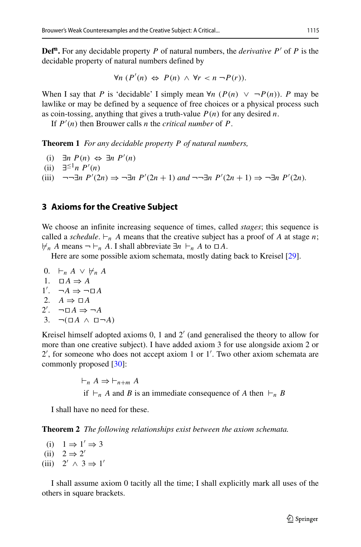**Defn.** For any decidable property *P* of natural numbers, the *derivative P* of *P* is the decidable property of natural numbers defined by

$$
\forall n \ (P'(n) \Leftrightarrow P(n) \wedge \forall r < n \ \neg P(r)).
$$

When I say that *P* is 'decidable' I simply mean  $\forall n \ (P(n) \lor \neg P(n))$ . *P* may be lawlike or may be defined by a sequence of free choices or a physical process such as coin-tossing, anything that gives a truth-value *P(n)* for any desired *n*.

If  $P'(n)$  then Brouwer calls *n* the *critical number* of *P*.

**Theorem 1** *For any decidable property P of natural numbers,*

(i) ∃*n P(n)* ⇔ ∃*n P (n)* (ii) ∃≤1*n P (n)* (iii) ¬¬∃*n*  $P'(2n)$   $\Rightarrow$  ¬∃*n*  $P'(2n + 1)$  *and* ¬¬∃*n*  $P'(2n + 1)$   $\Rightarrow$  ¬∃*n*  $P'(2n)$ *.* 

### **3 Axioms for the Creative Subject**

We choose an infinite increasing sequence of times, called *stages*; this sequence is called a *schedule*.  $\vdash_n A$  means that the creative subject has a proof of A at stage *n*;  $\forall$  *A* means  $\neg$  *− n A*. I shall abbreviate  $\exists$ n *−*<sub>*n*</sub> *A* to  $\Box$ *A*.

Here are some possible axiom schemata, mostly dating back to Kreisel [\[29\]](#page-45-6).

- 0.  $\vdash_n A \lor \nvdash_n A$
- 1.  $\Box A \Rightarrow A$
- 1'.  $\neg A \Rightarrow \neg \Box A$
- 2.  $A \Rightarrow \Box A$
- 2'.  $\neg \Box A \Rightarrow \neg A$
- 3.  $\neg(\Box A \land \Box \neg A)$

Kreisel himself adopted axioms  $0$ , 1 and  $2'$  (and generalised the theory to allow for more than one creative subject). I have added axiom 3 for use alongside axiom 2 or 2 , for someone who does not accept axiom 1 or 1 . Two other axiom schemata are commonly proposed [\[30\]](#page-45-7):

> $\vdash_n A \Rightarrow \vdash_{n+m} A$ if  $\vdash_n A$  and *B* is an immediate consequence of *A* then  $\vdash_n B$

I shall have no need for these.

**Theorem 2** *The following relationships exist between the axiom schemata.*

(i)  $1 \Rightarrow 1' \Rightarrow 3$ (ii)  $2 \Rightarrow 2'$ (iii)  $2' \wedge 3 \Rightarrow 1'$ 

I shall assume axiom 0 tacitly all the time; I shall explicitly mark all uses of the others in square brackets.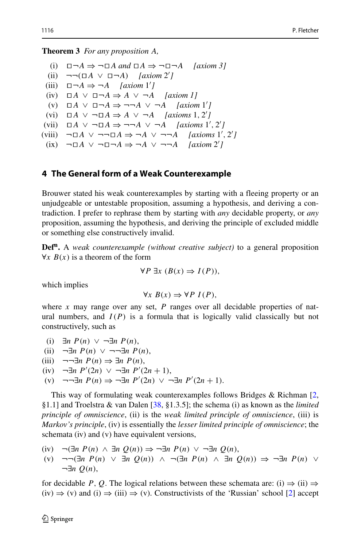**Theorem 3** *For any proposition A,*

(i)  $\Box \neg A \Rightarrow \neg \Box A$  *and*  $\Box A \Rightarrow \neg \Box \neg A$  *[axiom 3]*  $(ii)$  ¬¬ $(□A$  ∨  $□¬A)$ *]* (iii)  $\Box \neg A \Rightarrow \neg A$  *[axiom 1']*  $(iv)$   $\Box A \lor \Box \neg A \Rightarrow A \lor \neg A$  *[axiom 1]*  $(V)$   $\Box A$  ∨  $\Box \neg A$   $\Rightarrow$   $\neg \neg A$  ∨  $\neg A$ *<u>Iaxiom</u>* 1'*l* (vi)  $\Box A \lor \neg \Box A \Rightarrow A \lor \neg A$  *[axioms* 1, 2'] (vii)  $\Box A \lor \neg \Box A \Rightarrow \neg \neg A \lor \neg A$  *[axioms* 1', 2'] (viii)  $\neg$ □A ∨  $\neg$ ¬□A  $\Rightarrow$  ¬A ∨ ¬¬A *,* 2 *]*  $(ix)$  ¬□*A* ∨ ¬□¬*A*  $\Rightarrow$  ¬*A* ∨ ¬¬*A ]*

# **4 The General form of a Weak Counterexample**

Brouwer stated his weak counterexamples by starting with a fleeing property or an unjudgeable or untestable proposition, assuming a hypothesis, and deriving a contradiction. I prefer to rephrase them by starting with *any* decidable property, or *any* proposition, assuming the hypothesis, and deriving the principle of excluded middle or something else constructively invalid.

**Defn.** A *weak counterexample (without creative subject)* to a general proposition ∀*x B(x)* is a theorem of the form

 $∀P ⊇x (B(x) ⇒ I(P)),$ 

which implies

$$
\forall x \ B(x) \Rightarrow \forall P \ I(P),
$$

where  $x$  may range over any set,  $P$  ranges over all decidable properties of natural numbers, and  $I(P)$  is a formula that is logically valid classically but not constructively, such as

- (i) ∃*n P(n)* ∨ ¬∃*n P(n)*,
- (ii) ¬∃*n P(n)* ∨ ¬¬∃*n P(n)*,
- (iii) ¬¬∃*n P(n)* ⇒ ∃*n P(n)*,
- $(iv)$  ¬∃*n*  $P'(2n)$  ∨ ¬∃*n*  $P'(2n + 1)$ ,
- $P(n)$  → →∃*n*  $P'(2n)$  ∨ →∃*n*  $P'(2n+1)$ .

This way of formulating weak counterexamples follows Bridges  $\&$  Richman [\[2,](#page-44-5) §1.1] and Troelstra & van Dalen [\[38,](#page-45-5) §1.3.5]; the schema (i) as known as the *limited principle of omniscience*, (ii) is the *weak limited principle of omniscience*, (iii) is *Markov's principle*, (iv) is essentially the *lesser limited principle of omniscience*; the schemata (iv) and (v) have equivalent versions,

- (iv) ¬*(*∃*n P(n)* ∧ ∃*n Q(n))* ⇒ ¬∃*n P(n)* ∨ ¬∃*n Q(n)*,
- (v) ¬¬*(*∃*n P(n)* ∨ ∃*n Q(n))* ∧ ¬*(*∃*n P(n)* ∧ ∃*n Q(n))* ⇒ ¬∃*n P(n)* ∨ ¬∃*n Q(n)*,

for decidable *P*, *Q*. The logical relations between these schemata are: (i)  $\Rightarrow$  (ii)  $\Rightarrow$  $(iv) \Rightarrow (v)$  and  $(i) \Rightarrow (iii) \Rightarrow (v)$ . Constructivists of the 'Russian' school [\[2\]](#page-44-5) accept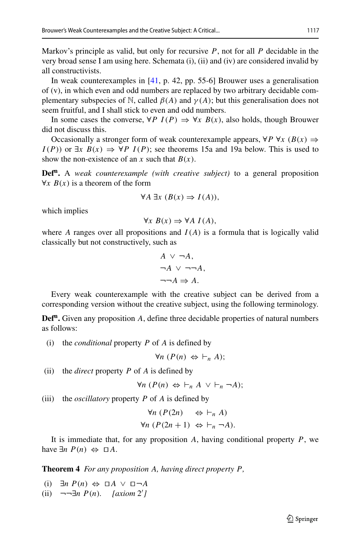Markov's principle as valid, but only for recursive *P*, not for all *P* decidable in the very broad sense I am using here. Schemata (i), (ii) and (iv) are considered invalid by all constructivists.

In weak counterexamples in [\[41,](#page-46-1) p. 42, pp. 55-6] Brouwer uses a generalisation of (v), in which even and odd numbers are replaced by two arbitrary decidable complementary subspecies of N, called  $\beta(A)$  and  $\gamma(A)$ ; but this generalisation does not seem fruitful, and I shall stick to even and odd numbers.

In some cases the converse,  $\forall P \ I(P) \Rightarrow \forall x \ B(x)$ , also holds, though Brouwer did not discuss this.

Occasionally a stronger form of weak counterexample appears,  $\forall P \forall x (B(x) \Rightarrow$ *I(P)*) or  $\exists x \ B(x) \Rightarrow \forall P \ I(P)$ ; see theorems 15a and 19a below. This is used to show the non-existence of an *x* such that  $B(x)$ .

**Defn.** A *weak counterexample (with creative subject)* to a general proposition ∀*x B(x)* is a theorem of the form

$$
\forall A \exists x \ (B(x) \Rightarrow I(A)),
$$

which implies

$$
\forall x \ B(x) \Rightarrow \forall A \ I(A),
$$

where *A* ranges over all propositions and  $I(A)$  is a formula that is logically valid classically but not constructively, such as

$$
A \lor \neg A,
$$
  

$$
\neg A \lor \neg \neg A,
$$
  

$$
\neg \neg A \Rightarrow A.
$$

Every weak counterexample with the creative subject can be derived from a corresponding version without the creative subject, using the following terminology.

**Defn.** Given any proposition *A*, define three decidable properties of natural numbers as follows:

(i) the *conditional* property *P* of *A* is defined by

$$
\forall n\ (P(n)\Leftrightarrow \vdash_n A);
$$

(ii) the *direct* property *P* of *A* is defined by

$$
\forall n \ (P(n) \Leftrightarrow \vdash_n A \lor \vdash_n \neg A);
$$

(iii) the *oscillatory* property *P* of *A* is defined by

$$
\forall n \ (P(2n) \Leftrightarrow \vdash_n A)
$$
  

$$
\forall n \ (P(2n+1) \Leftrightarrow \vdash_n \neg A).
$$

It is immediate that, for any proposition *A*, having conditional property *P*, we have  $\exists n \ P(n) \Leftrightarrow \Box A$ .

**Theorem 4** *For any proposition A, having direct property P,*

 $(i)$  ∃*n*  $P(n)$  ⇔ □  $A$  ∨ □  $\neg A$ (ii)  $\neg\neg\exists n \ P(n)$ *.* [axiom 2']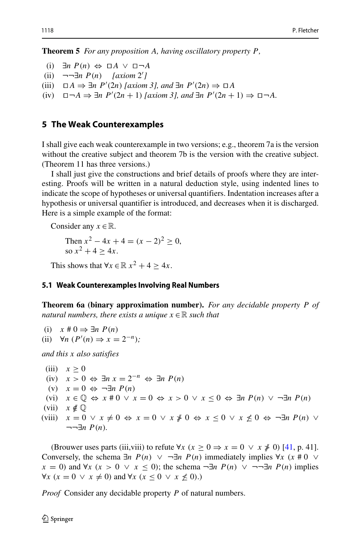**Theorem 5** *For any proposition A, having oscillatory property P,*

 $(i)$  ∃*n*  $P(n)$  ⇔  $\Box A$  ∨  $\Box \neg A$ 

- (ii) ¬¬∃*n P(n) [axiom* 2 *]*
- (iii)  $\Box A \Rightarrow \exists n \ P'(2n)$  [axiom 3], and  $\exists n \ P'(2n) \Rightarrow \Box A$
- $(iv)$  □¬*A*  $\Rightarrow$  ∃*n*  $P'(2n + 1)$  [axiom 3], and ∃*n*  $P'(2n + 1) \Rightarrow$  □¬*A*.

### **5 The Weak Counterexamples**

I shall give each weak counterexample in two versions; e.g., theorem 7a is the version without the creative subject and theorem 7b is the version with the creative subject. (Theorem 11 has three versions.)

I shall just give the constructions and brief details of proofs where they are interesting. Proofs will be written in a natural deduction style, using indented lines to indicate the scope of hypotheses or universal quantifiers. Indentation increases after a hypothesis or universal quantifier is introduced, and decreases when it is discharged. Here is a simple example of the format:

Consider any  $x \in \mathbb{R}$ .

Then 
$$
x^2 - 4x + 4 = (x - 2)^2 \ge 0
$$
,  
so  $x^2 + 4 \ge 4x$ .

This shows that  $\forall x \in \mathbb{R} \ x^2 + 4 > 4x$ .

#### **5.1 Weak Counterexamples Involving Real Numbers**

**Theorem 6a (binary approximation number).** *For any decidable property P of natural numbers, there exists a unique*  $x \in \mathbb{R}$  *such that* 

(i) *x* # 0 ⇒ ∃*n P(n)* (ii)  $\forall n \ (P(n) \Rightarrow x = 2^{-n})$ ;

*and this x also satisfies*

\n- (iii) 
$$
x \ge 0
$$
\n- (iv)  $x > 0 \Leftrightarrow \exists n \ x = 2^{-n} \Leftrightarrow \exists n \ P(n)$
\n- (v)  $x = 0 \Leftrightarrow \neg \exists n \ P(n)$
\n- (vi)  $x \in \mathbb{Q} \Leftrightarrow x \# 0 \lor x = 0 \Leftrightarrow x > 0 \lor x \le 0 \Leftrightarrow \exists n \ P(n) \lor \neg \exists n \ P(n)$
\n- (viii)  $x \notin \mathbb{Q}$
\n- (viii)  $x = 0 \lor x \neq 0 \Leftrightarrow x = 0 \lor x \neq 0 \Leftrightarrow x \le 0 \lor x \neq 0 \Leftrightarrow \neg \exists n \ P(n) \lor \neg \neg \exists n \ P(n)$
\n

(Brouwer uses parts (iii,viii) to refute  $\forall x$  ( $x \ge 0 \Rightarrow x = 0 \lor x \ne 0$ ) [\[41,](#page-46-1) p. 41]. Conversely, the schema  $\exists n \ P(n) \lor \neg \exists n \ P(n)$  immediately implies  $\forall x \ (x \neq 0 \ \lor \ \neg \exists n \ P(n) \ \lor \ \neg \exists n \ P(n)$ *x* = 0) and  $\forall x$  (*x* > 0 ∨ *x* ≤ 0); the schema  $\neg \exists n \ P(n)$  ∨  $\neg \neg \exists n \ P(n)$  implies  $∀x (x = 0 ∨ x ≠ 0)$  and  $∀x (x < 0 ∨ x ≠ 0)$ .)

*Proof* Consider any decidable property *P* of natural numbers.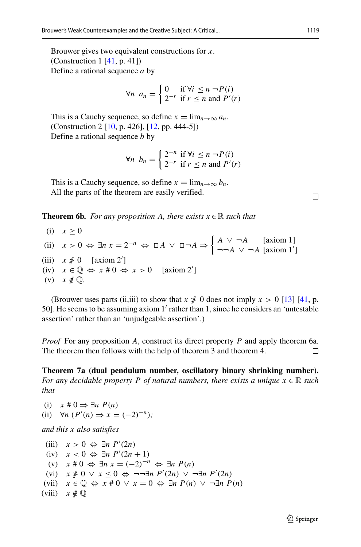Brouwer gives two equivalent constructions for *x*. (Construction 1 [\[41,](#page-46-1) p. 41]) Define a rational sequence *a* by

$$
\forall n \, a_n = \begin{cases} 0 & \text{if } \forall i \le n - P(i) \\ 2^{-r} & \text{if } r \le n \text{ and } P'(r) \end{cases}
$$

This is a Cauchy sequence, so define  $x = \lim_{n \to \infty} a_n$ . (Construction 2 [\[10,](#page-44-6) p. 426], [\[12,](#page-44-7) pp. 444-5]) Define a rational sequence *b* by

$$
\forall n \; b_n = \begin{cases} 2^{-n} \text{ if } \forall i \le n - P(i) \\ 2^{-r} \text{ if } r \le n \text{ and } P'(r) \end{cases}
$$

This is a Cauchy sequence, so define  $x = \lim_{n \to \infty} b_n$ . All the parts of the theorem are easily verified.

**Theorem 6b.** *For any proposition A, there exists*  $x \in \mathbb{R}$  *such that* 

(i) 
$$
x \ge 0
$$
  
\n(ii)  $x > 0 \Leftrightarrow \exists n \ x = 2^{-n} \Leftrightarrow \Box A \lor \Box \neg A \Rightarrow \begin{cases} A \lor \neg A & \text{[axiom 1]} \\ \neg\neg A \lor \neg A & \text{[axiom 1']}\end{cases}$   
\n(iii)  $x \ne 0$  [axiom 2']  
\n(iv)  $x \in \mathbb{Q} \Leftrightarrow x \ne 0 \Leftrightarrow x > 0$  [axiom 2']  
\n(v)  $x \notin \mathbb{Q}$ .

(Brouwer uses parts (ii,iii) to show that  $x \neq 0$  does not imply  $x > 0$  [\[13\]](#page-44-8) [\[41,](#page-46-1) p. 50]. He seems to be assuming axiom  $1'$  rather than 1, since he considers an 'untestable assertion' rather than an 'unjudgeable assertion'.)

*Proof* For any proposition *A*, construct its direct property *P* and apply theorem 6a. The theorem then follows with the help of theorem 3 and theorem 4.  $\Box$ 

**Theorem 7a (dual pendulum number, oscillatory binary shrinking number).** *For any decidable property P of natural numbers, there exists a unique*  $x \in \mathbb{R}$  *such that*

(i) *x* # 0 ⇒ ∃*n P(n)*

(ii)  $\forall n \ (P'(n) \Rightarrow x = (-2)^{-n});$ 

*and this x also satisfies*

(iii) *x >* 0 ⇔ ∃*n P (*2*n)*  $(iv)$  *x* < 0 ⇔ ∃*n*  $P'(2n + 1)$ (v) *x* # 0 ⇔ ∃*n x* = *(*−2*)*−*<sup>n</sup>* ⇔ ∃*n P(n)*  $(vi)$  *x*  $\neq$  0 ∨ *x* ≤ 0 ⇔ ¬¬∃*n*  $P'(2n)$  ∨ ¬∃*n*  $P'(2n)$ (vii) *x* ∈ Q ⇔ *x* # 0 ∨ *x* = 0 ⇔ ∃*n P(n)* ∨ ¬∃*n P(n)*  $(viii)$  *x*  $\notin \mathbb{Q}$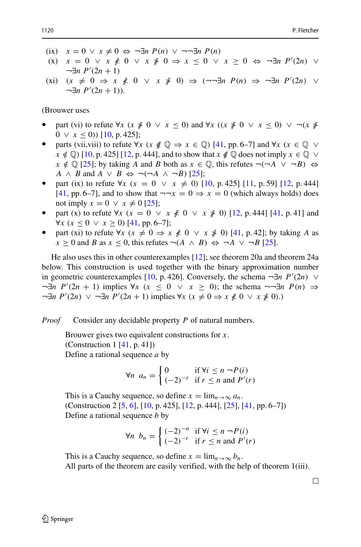- (ix) *x* = 0 ∨ *x* = 0 ⇔ ¬∃*n P(n)* ∨ ¬¬∃*n P(n)*
- $(x)$   $x = 0 \lor x \not\equiv 0 \lor x \not\equiv 0 \Rightarrow x \leq 0 \lor x \geq 0 \Leftrightarrow \neg \exists n \ P'(2n) \lor \neg \exists n \ P'(n)$  $\neg \exists n \; P'(2n+1)$
- $(x + 0 \Rightarrow x \neq 0 \lor x \neq 0) \Rightarrow (\neg \neg \exists n \ P(n) \Rightarrow \neg \exists n \ P'(2n) \lor x \neq 0)$  $\neg \exists n \; P'(2n+1)$ *)*.

(Brouwer uses

- part (vi) to refute  $\forall x \ (x \neq 0 \lor x \leq 0)$  and  $\forall x \ ((x \neq 0 \lor x \leq 0) \lor \neg(x \neq 0))$  $0 \vee x \leq 0$ ) [\[10,](#page-44-6) p. 425];
- parts (vii,viii) to refute  $\forall x$  ( $x \notin \mathbb{Q} \Rightarrow x \in \mathbb{Q}$ ) [\[41,](#page-46-1) pp. 6–7] and  $\forall x$  ( $x \in \mathbb{Q} \lor \mathbb{Q}$  $x \notin \mathbb{Q}$  [\[10,](#page-44-6) p. 425] [\[12,](#page-44-7) p. 444], and to show that  $x \notin \mathbb{Q}$  does not imply  $x \in \mathbb{Q} \lor$ *x* ∉ ℚ [\[25\]](#page-45-8); by taking *A* and *B* both as  $x \in \mathbb{Q}$ , this refutes ¬ $(\neg A \lor \neg B) \Leftrightarrow$ *A* ∧ *B* and *A* ∨ *B*  $\Leftrightarrow$  ¬(¬*A* ∧ ¬*B*) [\[25\]](#page-45-8);
- part (ix) to refute  $\forall x$  ( $x = 0 \lor x \neq 0$ ) [\[10,](#page-44-6) p. 425] [\[11,](#page-44-9) p. 59] [\[12,](#page-44-7) p. 444] [\[41,](#page-46-1) pp. 6–7], and to show that  $\neg\neg x = 0 \Rightarrow x = 0$  (which always holds) does not imply  $x = 0 \lor x \neq 0$  [\[25\]](#page-45-8);
- part (x) to refute  $\forall x$  (x = 0 ∨ x  $\cancel{*}$  0 ∨ x  $\cancel{*}$  0) [\[12,](#page-44-7) p. 444] [\[41,](#page-46-1) p. 41] and  $∀x (x ≤ 0 ∨ x ≥ 0) [41, pp. 6-7];$  $∀x (x ≤ 0 ∨ x ≥ 0) [41, pp. 6-7];$  $∀x (x ≤ 0 ∨ x ≥ 0) [41, pp. 6-7];$
- part (xi) to refute  $\forall x \ (x \neq 0 \Rightarrow x \not\equiv 0 \lor x \not\equiv 0)$  [\[41,](#page-46-1) p. 42]; by taking A as *x* ≥ 0 and *B* as *x* ≤ 0, this refutes  $\neg(A \land B) \Leftrightarrow \neg A \lor \neg B$  [\[25\]](#page-45-8).

He also uses this in other counterexamples [\[12\]](#page-44-7); see theorem 20a and theorem 24a below. This construction is used together with the binary approximation number in geometric counterexamples [\[10,](#page-44-6) p. 426]. Conversely, the schema ¬∃*n*  $P'(2n)$  ∨  $\neg \exists n \ P'(2n + 1)$  implies  $\forall x \ (x \leq 0 \lor x \geq 0)$ ; the schema  $\neg \neg \exists n \ P(n) \Rightarrow$  $\neg \exists n \; P'(2n) \lor \neg \exists n \; P'(2n+1) \text{ implies } \forall x \; (x \neq 0 \Rightarrow x \not\equiv 0 \lor x \not\equiv 0).$ 

#### *Proof* Consider any decidable property *P* of natural numbers.

Brouwer gives two equivalent constructions for *x*. (Construction 1  $[41, p. 41]$  $[41, p. 41]$ ) Define a rational sequence *a* by

$$
\forall n \, a_n = \begin{cases} 0 & \text{if } \forall i \le n - P(i) \\ (-2)^{-r} & \text{if } r \le n \text{ and } P'(r) \end{cases}
$$

This is a Cauchy sequence, so define  $x = \lim_{n \to \infty} a_n$ . (Construction 2 [\[5,](#page-44-1) [6\]](#page-44-2), [\[10,](#page-44-6) p. 425], [\[12,](#page-44-7) p. 444], [\[25\]](#page-45-8), [\[41,](#page-46-1) pp. 6–7]) Define a rational sequence *b* by

$$
\forall n \; b_n = \begin{cases} (-2)^{-n} & \text{if } \forall i \le n \, \neg P(i) \\ (-2)^{-r} & \text{if } r \le n \text{ and } P'(r) \end{cases}
$$

This is a Cauchy sequence, so define  $x = \lim_{n \to \infty} b_n$ . All parts of the theorem are easily verified, with the help of theorem 1(iii).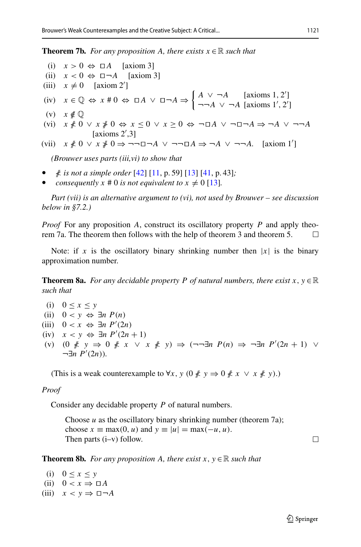**Theorem 7b.** *For any proposition A, there exists*  $x \in \mathbb{R}$  *such that* 

(i)  $x > 0 \Leftrightarrow \Box A$  [axiom 3] (ii)  $x < 0 \Leftrightarrow \Box \neg A$  [axiom 3] (iii)  $x \neq 0$  [axiom 2'] (iv)  $x \in \mathbb{Q} \Leftrightarrow x \# 0 \Leftrightarrow \Box A \lor \Box \neg A \Rightarrow \begin{cases} A \lor \neg A & \text{[axioms 1, 2']}\\ -A \lor \neg A & \text{[axioms 1', 2']}\end{cases}$  $\neg\neg A \lor \neg A$  [axioms 1', 2']  $(v)$  *x*  $\notin \mathbb{Q}$ (vi)  $x \neq 0 \lor x \neq 0 \Leftrightarrow x \leq 0 \lor x \geq 0 \Leftrightarrow \neg \Box A \lor \neg \Box \neg A \Rightarrow \neg A \lor \neg \neg A$ [axioms 2 ,3] (vii)  $x \neq 0 \lor x \neq 0 \Rightarrow \neg\neg \Box \neg A \lor \neg \neg \Box A \Rightarrow \neg A \lor \neg \neg A$ . [axiom 1'] *(Brouwer uses parts (iii,vi) to show that*

- $\sharp$  *is not a simple order* [\[42\]](#page-46-0) [\[11,](#page-44-9) p. 59] [\[13\]](#page-44-8) [\[41,](#page-46-1) p. 43]*;*
- *consequently*  $x \neq 0$  *is not equivalent to*  $x \neq 0$  [\[13\]](#page-44-8)*.*

*Part (vii) is an alternative argument to (vi), not used by Brouwer – see discussion below in §7.2.)*

*Proof* For any proposition *A*, construct its oscillatory property *P* and apply theorem 7a. The theorem then follows with the help of theorem 3 and theorem 5.  $\Box$ 

Note: if x is the oscillatory binary shrinking number then  $|x|$  is the binary approximation number.

**Theorem 8a.** *For any decidable property P of natural numbers, there exist*  $x, y \in \mathbb{R}$ *such that*

- (i)  $0 \leq x \leq y$
- (ii)  $0 < y \Leftrightarrow \exists n P(n)$
- (iii) 0 *< x* ⇔ ∃*n P (*2*n)*
- $(iv)$  *x* < *y* ⇔ ∃*n*  $P'(2n + 1)$
- $(v)$   $(0 \not\leq y \Rightarrow 0 \not\leq x \lor x \not\leq y) \Rightarrow (\neg \neg \exists n \ P(n) \Rightarrow \neg \exists n \ P'(2n+1) \lor y$  $\neg \exists n \ P'(2n)$ ).

(This is a weak counterexample to  $\forall x, y \in (0 \nleq y \Rightarrow 0 \nleq x \lor x \nleq y)$ .)

#### *Proof*

Consider any decidable property *P* of natural numbers.

Choose *u* as the oscillatory binary shrinking number (theorem 7a); choose  $x \equiv \max(0, u)$  and  $y \equiv |u| = \max(-u, u)$ . Then parts (i–v) follow.

**Theorem 8b.** *For any proposition A, there exist*  $x, y \in \mathbb{R}$  *such that* 

(i)  $0 \leq x \leq y$ (ii)  $0 < x \Rightarrow \Box A$  $(iii)$   $x < y \Rightarrow \Box \neg A$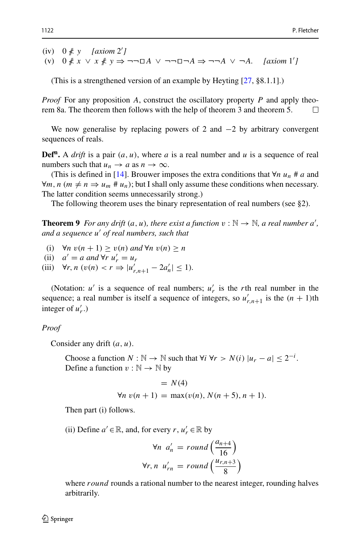$(iv) 0 \nless y \quad [axiom 2']$ (v)  $0 \nless x \lor x \nless y \Rightarrow \neg \neg \Box A \lor \neg \neg \Box \neg A \Rightarrow \neg \neg A \lor \neg A$ . *[axiom 1']* 

(This is a strengthened version of an example by Heyting [\[27,](#page-45-2) §8.1.1].)

*Proof* For any proposition *A*, construct the oscillatory property *P* and apply theorem 8a. The theorem then follows with the help of theorem 3 and theorem 5.  $\Box$ 

We now generalise by replacing powers of 2 and  $-2$  by arbitrary convergent sequences of reals.

**Def<sup>n</sup>**. A *drift* is a pair  $(a, u)$ , where *a* is a real number and *u* is a sequence of real numbers such that  $u_n \to a$  as  $n \to \infty$ .

(This is defined in [\[14\]](#page-44-10). Brouwer imposes the extra conditions that ∀*n un* # *a* and  $\forall m, n \ (m \neq n \Rightarrow u_m \# u_n)$ ; but I shall only assume these conditions when necessary. The latter condition seems unnecessarily strong.)

The following theorem uses the binary representation of real numbers (see §2).

**Theorem 9** *For any drift*  $(a, u)$ *, there exist a function*  $v : \mathbb{N} \to \mathbb{N}$ *, a real number a'*, *and a sequence u of real numbers, such that*

- (i)  $\forall n \ v(n+1) > v(n)$  and  $\forall n \ v(n) > n$
- (ii)  $a' = a$  *and*  $\forall r$   $u'_r = u_r$
- (iii)  $\forall r, n \ (v(n) < r \Rightarrow |u'_{r,n+1} 2a'_n| \leq 1).$

(Notation:  $u'$  is a sequence of real numbers;  $u'_r$  is the *r*th real number in the sequence; a real number is itself a sequence of integers, so  $u'_{r,n+1}$  is the  $(n + 1)$ th integer of  $u'_r$ .)

#### *Proof*

Consider any drift *(a, u)*.

Choose a function  $N : \mathbb{N} \to \mathbb{N}$  such that  $\forall i \forall r > N(i) |u_r - a| \leq 2^{-i}$ . Define a function  $v : \mathbb{N} \to \mathbb{N}$  by

$$
= N(4)
$$
  
 
$$
\forall n \ v(n + 1) = \max(v(n), N(n + 5), n + 1).
$$

Then part (i) follows.

(ii) Define  $a' \in \mathbb{R}$ , and, for every  $r, u'_r \in \mathbb{R}$  by

$$
\forall n \ a'_n = round\left(\frac{a_{n+4}}{16}\right)
$$

$$
\forall r, n \ u'_{rn} = round\left(\frac{u_{r,n+3}}{8}\right)
$$

where *round* rounds a rational number to the nearest integer, rounding halves arbitrarily.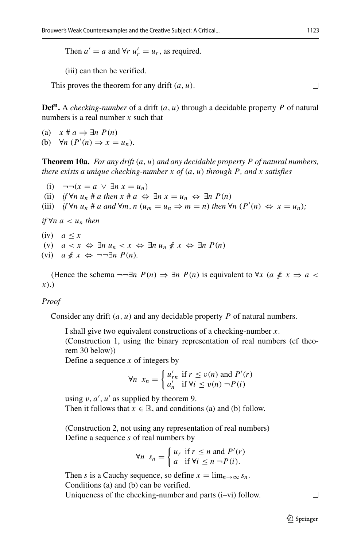Then  $a' = a$  and  $\forall r$   $u'_r = u_r$ , as required.

(iii) can then be verified.

This proves the theorem for any drift *(a, u)*.

**Defn.** A *checking-number* of a drift *(a, u)* through a decidable property *P* of natural numbers is a real number *x* such that

(a) *x* # *a* ⇒ ∃*n P(n)* (b)  $\forall n \ (P(n) \Rightarrow x = u_n).$ 

**Theorem 10a.** *For any drift (a, u) and any decidable property P of natural numbers, there exists a unique checking-number x of (a, u) through P, and x satisfies*

(i) ¬¬*(x* = *a* ∨ ∃*n x* = *un)*

(ii) *if* ∀*n un* # *a then x* # *a* ⇔ ∃*n x* = *un* ⇔ ∃*n P(n)*

(iii) *if*  $\forall n \ u_n \neq a$  and  $\forall m, n \ (u_m = u_n \Rightarrow m = n)$  then  $\forall n \ (P'(n) \Leftrightarrow x = u_n)$ ;

*if* ∀*n*  $a < u_n$  *then* 

(iv)  $a \leq x$ (v)  $a < x$  ⇔ ∃*n*  $u_n < x$  ⇔ ∃*n*  $u_n \not\leq x$  ⇔ ∃*n*  $P(n)$ (vi)  $a \not\in x \Leftrightarrow \neg \neg \exists n \; P(n)$ *.* 

(Hence the schema  $\neg\neg \exists n \ P(n) \Rightarrow \exists n \ P(n)$  is equivalent to  $\forall x \ (a \not\& x \Rightarrow a \leq a \ \forall x \ p \Rightarrow a \leq a \ \forall x \ p \Rightarrow a \leq a \ \forall x \ p \Rightarrow a \leq a \ \forall x \ p \Rightarrow a \leq a \ \forall x \ p \Rightarrow a \leq a \ \forall x \ p \Rightarrow a \leq a \ \forall x \ p \Rightarrow a \leq a \ \forall x \ p \Rightarrow a \leq a \ \forall x \ p \Rightarrow a \leq a \ \forall x \ p \Rightarrow a \leq a \ \forall x \ p \Rightarrow a \leq a \$ *x)*.)

#### *Proof*

Consider any drift *(a, u)* and any decidable property *P* of natural numbers.

I shall give two equivalent constructions of a checking-number *x*.

(Construction 1, using the binary representation of real numbers (cf theorem 30 below))

Define a sequence *x* of integers by

$$
\forall n \; x_n = \begin{cases} u'_{rn} & \text{if } r \le v(n) \text{ and } P'(r) \\ a'_n & \text{if } \forall i \le v(n) \neg P(i) \end{cases}
$$

using  $v, a', u'$  as supplied by theorem 9.

Then it follows that  $x \in \mathbb{R}$ , and conditions (a) and (b) follow.

(Construction 2, not using any representation of real numbers) Define a sequence *s* of real numbers by

$$
\forall n \ s_n = \begin{cases} u_r \text{ if } r \leq n \text{ and } P'(r) \\ a \text{ if } \forall i \leq n \ \neg P(i). \end{cases}
$$

Then *s* is a Cauchy sequence, so define  $x = \lim_{n \to \infty} s_n$ . Conditions (a) and (b) can be verified.

Uniqueness of the checking-number and parts (i–vi) follow.

 $\Box$ 

1123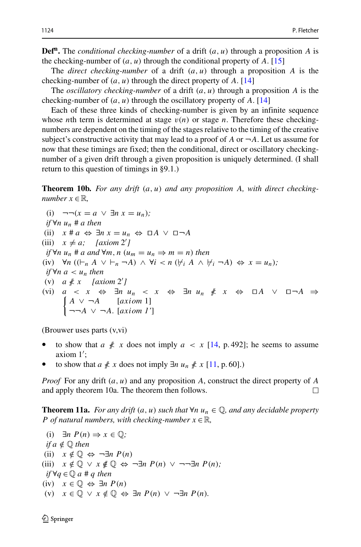**Defn.** The *conditional checking-number* of a drift *(a, u)* through a proposition *A* is the checking-number of  $(a, u)$  through the conditional property of A. [\[15\]](#page-44-11)

The *direct checking-number* of a drift *(a, u)* through a proposition *A* is the checking-number of  $(a, u)$  through the direct property of A. [\[14\]](#page-44-10)

The *oscillatory checking-number* of a drift *(a, u)* through a proposition *A* is the checking-number of *(a, u)* through the oscillatory property of *A*. [\[14\]](#page-44-10)

Each of these three kinds of checking-number is given by an infinite sequence whose *n*th term is determined at stage  $v(n)$  or stage *n*. Therefore these checkingnumbers are dependent on the timing of the stages relative to the timing of the creative subject's constructive activity that may lead to a proof of  $A$  or  $\neg A$ . Let us assume for now that these timings are fixed; then the conditional, direct or oscillatory checkingnumber of a given drift through a given proposition is uniquely determined. (I shall return to this question of timings in §9.1.)

**Theorem 10b.** *For any drift (a, u) and any proposition A, with direct checkingnumber*  $x \in \mathbb{R}$ *,* 

(i) ¬¬( $x = a$  ∨ ∃*n*  $x = u_n$ ); *if* ∀*n un* # *a then* (ii)  $x \# a \Leftrightarrow \exists n \ x = u_n \Leftrightarrow \Box A \vee \Box \neg A$ (iii)  $x \neq a$ ; [axiom 2'] *if* ∀*n*  $u_n$  # *a and* ∀*m*, *n* ( $u_m = u_n \Rightarrow m = n$ ) *then* (iv)  $\forall n \ ((\vdash_n A \lor \vdash_n \neg A) \land \forall i < n \ (\forall i \ A \land \forall i \ \neg A) \Leftrightarrow x = u_n);$ *if* ∀*n*  $a < u_n$  *then* (v)  $a \not\equiv x \quad [axiom 2']$ (vi)  $a \lt x \Leftrightarrow \exists n \ u_n \lt x \Leftrightarrow \exists n \ u_n \not\preceq x \Leftrightarrow \exists n \ u_n \land x \Leftrightarrow \Box A \vee \Box \neg A \Rightarrow$  $\int$  *A* ∨ ¬*A* [*axiom* 1] ¬¬*A* ∨ ¬*A*. [*axiom 1'*]

(Brouwer uses parts (v,vi)

- to show that  $a \not\leq x$  does not imply  $a < x$  [\[14,](#page-44-10) p. 492]; he seems to assume axiom 1 ;
- to show that *a*  $\neq$  *x* does not imply ∃*n u<sub>n</sub>*  $\neq$  *x* [\[11,](#page-44-9) p. 60].)

*Proof* For any drift *(a, u)* and any proposition *A*, construct the direct property of *A*  $\Box$ and apply theorem 10a. The theorem then follows.

**Theorem 11a.** *For any drift*  $(a, u)$  *such that*  $\forall n \ u_n \in \mathbb{Q}$ *, and any decidable property P of natural numbers, with checking-number*  $x \in \mathbb{R}$ *,* 

(i) 
$$
\exists n P(n) \Rightarrow x \in \mathbb{Q}
$$
;  
\nif  $a \notin \mathbb{Q}$  then  
\n(ii)  $x \notin \mathbb{Q} \Leftrightarrow \neg \exists n P(n)$   
\n(iii)  $x \notin \mathbb{Q} \lor x \notin \mathbb{Q} \Leftrightarrow \neg \exists n P(n) \lor \neg \neg \exists n P(n)$ ;  
\nif  $\forall q \in \mathbb{Q}$   $a \# q$  then  
\n(iv)  $x \in \mathbb{Q} \Leftrightarrow \exists n P(n)$   
\n(v)  $x \in \mathbb{Q} \lor x \notin \mathbb{Q} \Leftrightarrow \exists n P(n) \lor \neg \exists n P(n)$ .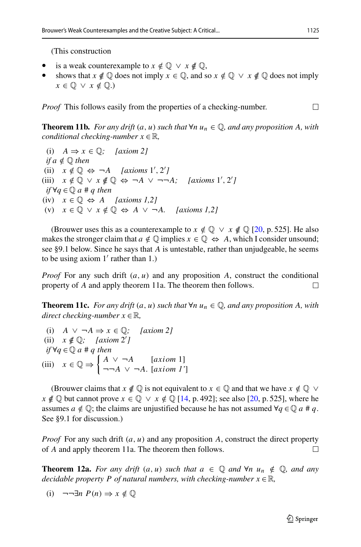(This construction

- is a weak counterexample to  $x \notin \mathbb{Q} \lor x \notin \mathbb{Q}$ ,
- shows that  $x \notin \mathbb{Q}$  does not imply  $x \in \mathbb{Q}$ , and so  $x \notin \mathbb{Q} \lor x \notin \mathbb{Q}$  does not imply  $x \in \mathbb{Q} \lor x \notin \mathbb{Q}$ .)

*Proof* This follows easily from the properties of a checking-number.

**Theorem 11b.** *For any drift*  $(a, u)$  *such that*  $\forall n \ u_n \in \mathbb{Q}$ *, and any proposition* A*, with conditional checking-number*  $x \in \mathbb{R}$ *,* 

(i)  $A \Rightarrow x \in \mathbb{Q}$ ; [axiom 2] *if*  $a \notin \mathbb{Q}$  *then* (ii)  $x \notin \mathbb{Q} \Leftrightarrow \neg A$  [axioms 1', 2'] (iii)  $x \notin \mathbb{Q} \lor x \notin \mathbb{Q} \Leftrightarrow \neg A \lor \neg \neg A$ ; [axioms 1', 2'] *if* ∀ $q ∈ \mathbb{O}$  *a* # *q then* (iv) *x* ∈ Q ⇔ *A [axioms 1,2]* (v)  $x \in \mathbb{Q} \lor x \notin \mathbb{Q} \Leftrightarrow A \lor \neg A$ *.* [axioms 1,2]

(Brouwer uses this as a counterexample to  $x \notin \mathbb{Q} \lor x \notin \mathbb{Q}$  [\[20,](#page-45-9) p. 525]. He also makes the stronger claim that  $a \notin \mathbb{Q}$  implies  $x \in \mathbb{Q} \iff A$ , which I consider unsound; see §9.1 below. Since he says that *A* is untestable, rather than unjudgeable, he seems to be using axiom  $1'$  rather than 1.)

*Proof* For any such drift *(a, u)* and any proposition *A*, construct the conditional property of *A* and apply theorem 11a. The theorem then follows.  $\Box$ 

**Theorem 11c.** *For any drift*  $(a, u)$  *such that*  $\forall n \ u_n \in \mathbb{Q}$ *, and any proposition* A*, with direct checking-number*  $x \in \mathbb{R}$ ,

(i) 
$$
A \lor \neg A \Rightarrow x \in \mathbb{Q}
$$
; [axiom 2]  
\n(ii)  $x \notin \mathbb{Q}$ ; [axiom 2']  
\nif  $\forall q \in \mathbb{Q}$  a # q then  
\n(iii)  $x \in \mathbb{Q} \Rightarrow \begin{cases} A \lor \neg A & [axiom 1] \\ \neg \neg A \lor \neg A & [axiom 1'] \end{cases}$ 

(Brouwer claims that *x*  $\notin \mathbb{Q}$  is not equivalent to *x*  $\in \mathbb{Q}$  and that we have  $x \notin \mathbb{Q} \vee$ *x* ∉ ℚ but cannot prove  $x \in \mathbb{Q} \lor x \notin \mathbb{Q}$  [\[14,](#page-44-10) p. 492]; see also [\[20,](#page-45-9) p. 525], where he assumes  $a \notin \mathbb{Q}$ ; the claims are unjustified because he has not assumed  $\forall q \in \mathbb{Q}$  *a* # *q*. See §9.1 for discussion.)

*Proof* For any such drift *(a, u)* and any proposition *A*, construct the direct property of *A* and apply theorem 11a. The theorem then follows.  $\Box$ 

**Theorem 12a.** For any drift  $(a, u)$  such that  $a \in \mathbb{Q}$  and  $\forall n \ u_n \notin \mathbb{Q}$ , and any *decidable property P of natural numbers, with checking-number*  $x \in \mathbb{R}$ *,* 

(i)  $\neg\neg\exists n P(n) \Rightarrow x \notin \mathbb{Q}$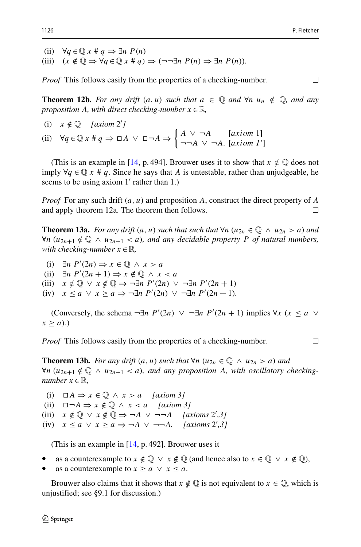(ii) ∀*q* ∈Q *x* # *q* ⇒ ∃*n P(n)*

(iii)  $(x \notin \mathbb{O} \Rightarrow \forall q \in \mathbb{O} \times \exists q \in \mathbb{O} \times \exists n P(n) \Rightarrow \exists n P(n)$ *.* 

*Proof* This follows easily from the properties of a checking-number.

**Theorem 12b.** For any drift  $(a, u)$  such that  $a \in \mathbb{Q}$  and  $\forall n \ u_n \notin \mathbb{Q}$ , and any *proposition A, with direct checking-number*  $x \in \mathbb{R}$ *,* 

(i)  $x \notin \mathbb{Q}$  [axiom 2'] (ii)  $\forall q \in \mathbb{Q} \ x \# q \Rightarrow \Box A \ \lor \ \Box \neg A \Rightarrow \begin{cases} A \ \lor \ \neg A \\ \neg \bot A \ \lor \neg A \end{cases}$  [axiom 1] ¬¬*A* ∨ ¬*A*. [*axiom 1'*]

(This is an example in [\[14,](#page-44-10) p. 494]. Brouwer uses it to show that  $x \notin \mathbb{Q}$  does not imply  $∀q ∈ Q x # q$ . Since he says that *A* is untestable, rather than unjudgeable, he seems to be using axiom  $1'$  rather than 1.)

*Proof* For any such drift *(a, u)* and proposition *A*, construct the direct property of *A* and apply theorem 12a. The theorem then follows.  $\Box$ 

**Theorem 13a.** *For any drift*  $(a, u)$  *such that such that*  $\forall n \ (u_{2n} \in \mathbb{Q} \land u_{2n} > a)$  *and* ∀*n (u*2*n*+<sup>1</sup> ∈*/* Q ∧ *u*2*n*+<sup>1</sup> *< a), and any decidable property P of natural numbers, with checking-number*  $x \in \mathbb{R}$ *,* 

- (i) ∃*n P (*2*n)* ⇒ *x* ∈ Q ∧ *x>a*
- (ii)  $∃n P'(2n + 1) ⇒ x ∉ Q ∧ x < a$
- (iii)  $x \notin \mathbb{Q} \lor x \notin \mathbb{Q} \Rightarrow \neg \exists n \ P'(2n) \lor \neg \exists n \ P'(2n+1)$
- (iv)  $x \le a \lor x \ge a \Rightarrow \neg \exists n \ P'(2n) \lor \neg \exists n \ P'(2n+1)$ *.*

(Conversely, the schema  $\neg \exists n \ P'(2n) \ \lor \ \neg \exists n \ P'(2n+1)$  implies  $\forall x \ (x \leq a \ \lor \ \neg \exists n \ P'(2n+1) \land \neg \exists n \ P'(2n+1)$  $x \geq a$ ).)

*Proof* This follows easily from the properties of a checking-number.

**Theorem 13b.** *For any drift*  $(a, u)$  *such that*  $\forall n \ (u_{2n} \in \mathbb{Q} \land u_{2n} > a)$  *and*  $∀n (u_{2n+1} \notin \mathbb{Q} \land u_{2n+1} < a)$ , and any proposition A, with oscillatory checking*number*  $x \in \mathbb{R}$ ,

(i)  $\Box A \Rightarrow x \in \mathbb{Q}$  ∧  $x > a$  *[axiom 3]* (ii)  $\Box \neg A \Rightarrow x \notin \mathbb{Q} \land x < a$  *[axiom 3]* (iii)  $x \notin \mathbb{Q} \lor x \notin \mathbb{Q} \Rightarrow \neg A \lor \neg \neg A$  [axioms 2',3]

(iv)  $x \le a \lor x \ge a \Rightarrow \neg A \lor \neg \neg A$ *. [axioms* 2',3]

(This is an example in [\[14,](#page-44-10) p. 492]. Brouwer uses it

- as a counterexample to  $x \notin \mathbb{Q} \lor x \notin \mathbb{Q}$  (and hence also to  $x \in \mathbb{Q} \lor x \notin \mathbb{Q}$ ),
- as a counterexample to  $x \ge a \lor x \le a$ .

Brouwer also claims that it shows that  $x \notin \mathbb{Q}$  is not equivalent to  $x \in \mathbb{Q}$ , which is unjustified; see §9.1 for discussion.)

 $\Box$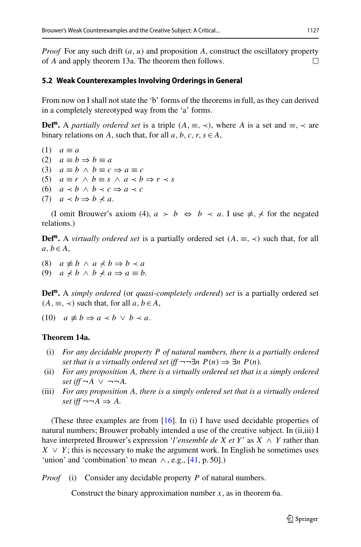*Proof* For any such drift *(a, u)* and proposition *A*, construct the oscillatory property of *A* and apply theorem 13a. The theorem then follows.  $\Box$ 

### **5.2 Weak Counterexamples Involving Orderings in General**

From now on I shall not state the 'b' forms of the theorems in full, as they can derived in a completely stereotyped way from the 'a' forms.

**Def<sup>n</sup>**. A *partially ordered set* is a triple  $(A, \equiv, \prec)$ , where *A* is a set and  $\equiv$ ,  $\prec$  are binary relations on *A*, such that, for all  $a, b, c, r, s \in A$ ,

 $(1)$   $a \equiv a$ 

- $(2)$   $a \equiv b \Rightarrow b \equiv a$
- (3)  $a \equiv b \land b \equiv c \Rightarrow a \equiv c$
- (5)  $a \equiv r \land b \equiv s \land a \prec b \Rightarrow r \prec s$
- (6)  $a \prec b \land b \prec c \Rightarrow a \prec c$
- (7)  $a \prec b \Rightarrow b \not\prec a$ .

(I omit Brouwer's axiom (4),  $a > b \Leftrightarrow b \prec a$ . I use  $\notin \neq, \neq$  for the negated relations.)

**Def<sup>n</sup>**. A *virtually ordered set* is a partially ordered set  $(A, \equiv, \prec)$  such that, for all *a,b*∈*A*,

(8)  $a \neq b \land a \neq b \Rightarrow b \prec a$ (9)  $a \neq b \land b \neq a \Rightarrow a \equiv b$ .

**Defn.** A *simply ordered* (or *quasi-completely ordered*) *set* is a partially ordered set *(A,* ≡*,*  $\prec$ *)* such that, for all *a, b* ∈ *A*,

(10)  $a \neq b \Rightarrow a \prec b \lor b \prec a$ .

#### **Theorem 14a.**

- (i) *For any decidable property P of natural numbers, there is a partially ordered set that is a virtually ordered set iff*  $\neg \exists n \ P(n) \Rightarrow \exists n \ P(n)$ *.*
- (ii) *For any proposition A, there is a virtually ordered set that is a simply ordered*  $set$  *iff*  $\neg A$  ∨  $\neg \neg A$ *.*
- (iii) *For any proposition A, there is a simply ordered set that is a virtually ordered set iff*  $\neg\neg A \Rightarrow A$ *.*

(These three examples are from [\[16\]](#page-45-10). In (i) I have used decidable properties of natural numbers; Brouwer probably intended a use of the creative subject. In (ii,iii) I have interpreted Brouwer's expression '*l'ensemble de X et Y*' as  $X \wedge Y$  rather than  $X \vee Y$ ; this is necessary to make the argument work. In English he sometimes uses 'union' and 'combination' to mean  $\wedge$ , e.g., [\[41,](#page-46-1) p. 50].)

*Proof* (i) Consider any decidable property *P* of natural numbers.

Construct the binary approximation number *x*, as in theorem 6a.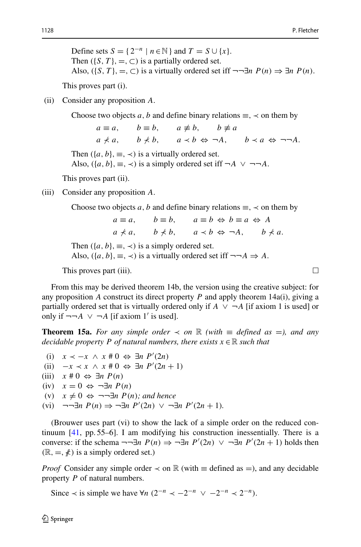Define sets  $S = \{2^{-n} | n \in \mathbb{N} \}$  and  $T = S \cup \{x\}.$ Then  $({S, T}, =, \subset)$  is a partially ordered set. Also,  $(\{S, T\}, =, \subset)$  is a virtually ordered set iff  $\neg \neg \exists n \ P(n) \Rightarrow \exists n \ P(n)$ .

This proves part (i).

#### (ii) Consider any proposition *A*.

Choose two objects *a*, *b* and define binary relations  $\equiv$ ,  $\prec$  on them by

 $a \equiv a, \quad b \equiv b, \quad a \not\equiv b, \quad b \not\equiv a$  $a \nless a, \quad b \nless b, \quad a \nless b \Leftrightarrow \neg A, \quad b \nless a \Leftrightarrow \neg \neg A.$ 

Then  $(\{a, b\}, \equiv, \prec)$  is a virtually ordered set.

Also,  $(\{a, b\}, \equiv, \prec)$  is a simply ordered set iff  $\neg A \lor \neg \neg A$ .

This proves part (ii).

(iii) Consider any proposition *A*.

Choose two objects *a*, *b* and define binary relations  $\equiv$ ,  $\prec$  on them by

 $a \equiv a$ ,  $b \equiv b$ ,  $a \equiv b \Leftrightarrow b \equiv a \Leftrightarrow A$  $a \nless a, \quad b \nless b, \quad a \nless b \Leftrightarrow \neg A, \quad b \nless a.$ 

Then  $(\{a, b\}, \equiv, \prec)$  is a simply ordered set. Also,  $(\{a, b\}, \equiv, \prec)$  is a virtually ordered set iff  $\neg\neg A \Rightarrow A$ .

This proves part (iii).

From this may be derived theorem 14b, the version using the creative subject: for any proposition *A* construct its direct property *P* and apply theorem 14a(i), giving a partially ordered set that is virtually ordered only if  $A \lor \neg A$  [if axiom 1 is used] or only if  $\neg\neg A$  ∨  $\neg A$  [if axiom 1' is used].

**Theorem 15a.** *For any simple order*  $\prec$  *on*  $\mathbb{R}$  *(with*  $\equiv$  *defined as*  $=$ *), and any decidable property P of natural numbers, there exists*  $x \in \mathbb{R}$  *such that* 

(i) *x* ≺ −*x* ∧ *x* # 0 ⇔ ∃*n P (*2*n)* (ii) −*x* ≺ *x* ∧ *x* # 0 ⇔ ∃*n P (*2*n* + 1*)* (iii) *x* # 0 ⇔ ∃*n P(n)* (iv) *x* = 0 ⇔ ¬∃*n P(n)* (v)  $x \neq 0 \Leftrightarrow \neg \neg \exists n \ P(n)$ *; and hence*  $P'(x)$  ¬¬∃*n*  $P'(n)$  ⇒ ¬∃*n*  $P'(2n)$  ∨ ¬∃*n*  $P'(2n+1)$ *.* 

(Brouwer uses part (vi) to show the lack of a simple order on the reduced continuum  $[41, pp. 55–6]$  $[41, pp. 55–6]$ . I am modifying his construction inessentially. There is a converse: if the schema  $\neg \neg \exists n \ P(n) \Rightarrow \neg \exists n \ P'(2n) \lor \neg \exists n \ P'(2n+1)$  holds then  $(\mathbb{R}, =, \mathcal{L})$  is a simply ordered set.)

*Proof* Consider any simple order  $\prec$  on R (with  $\equiv$  defined as  $=$ ), and any decidable property *P* of natural numbers.

Since  $\prec$  is simple we have  $\forall n$  (2<sup>−*n*</sup>  $\prec$  −2<sup>−*n*</sup>  $\lor$  −2<sup>−*n*</sup>  $\prec$  2<sup>−*n*</sup>).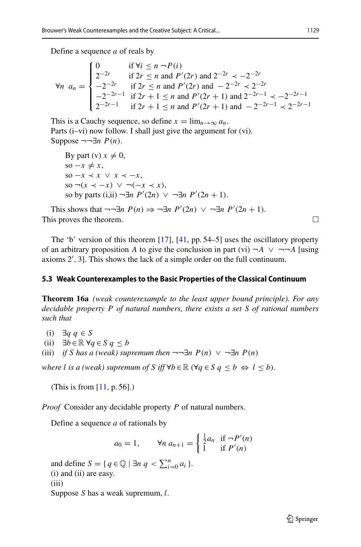Define a sequence *a* of reals by

$$
\forall n \ a_n = \begin{cases}\n0 & \text{if } \forall i \le n - P(i) \\
2^{-2r} & \text{if } 2r \le n \text{ and } P'(2r) \text{ and } 2^{-2r} \prec -2^{-2r} \\
-2^{-2r} & \text{if } 2r \le n \text{ and } P'(2r) \text{ and } -2^{-2r} \prec 2^{-2r} \\
-2^{-2r-1} & \text{if } 2r + 1 \le n \text{ and } P'(2r + 1) \text{ and } 2^{-2r-1} \prec -2^{-2r-1} \\
2^{-2r-1} & \text{if } 2r + 1 \le n \text{ and } P'(2r + 1) \text{ and } -2^{-2r-1} \prec 2^{-2r-1}\n\end{cases}
$$

This is a Cauchy sequence, so define  $x = \lim_{n \to \infty} a_n$ . Parts (i–vi) now follow. I shall just give the argument for (vi). Suppose ¬¬∃*n P(n)*.

By part (v) 
$$
x \neq 0
$$
,  
\nso  $-x \neq x$ ,  
\nso  $-x \prec x \lor x \prec -x$ ,  
\nso  $\neg(x \prec -x) \lor \neg(-x \prec x)$ ,  
\nso by parts (i, ii)  $\neg \exists n \ P'(2n) \lor \neg \exists n \ P'(2n+1)$ .

This shows that  $\neg\neg \exists n \ P(n) \Rightarrow \neg \exists n \ P'(2n) \lor \neg \exists n \ P'(2n+1)$ . This proves the theorem.

The 'b' version of this theorem [\[17\]](#page-45-11), [\[41,](#page-46-1) pp. 54–5] uses the oscillatory property of an arbitrary proposition *A* to give the conclusion in part (vi)  $\neg A \lor \neg\neg A$  [using axioms 2', 3]. This shows the lack of a simple order on the full continuum.

### **5.3 Weak Counterexamples to the Basic Properties of the Classical Continuum**

**Theorem 16a** *(weak counterexample to the least upper bound principle). For any decidable property P of natural numbers, there exists a set S of rational numbers such that*

- (i) ∃*q q* ∈ *S*
- (ii) ∃*b*∈R ∀*q* ∈*S q* ≤ *b*
- (iii) *if S has a (weak) supremum then* ¬¬∃*n P(n)* ∨ ¬∃*n P(n)*

*where l is a (weak) supremum of <i>S iff*  $\forall b \in \mathbb{R}$  ( $\forall q \in S$   $q \leq b \Leftrightarrow l \leq b$ ).

(This is from [\[11,](#page-44-9) p. 56].)

*Proof* Consider any decidable property *P* of natural numbers.

Define a sequence *a* of rationals by

$$
a_0 = 1, \qquad \forall n \ a_{n+1} = \begin{cases} \frac{1}{2} a_n & \text{if } \neg P'(n) \\ 1 & \text{if } P'(n) \end{cases}
$$

and define  $S = \{ q \in \mathbb{Q} \mid \exists n \; q < \sum_{i=0}^{n} a_i \}.$ (i) and (ii) are easy. (iii) Suppose *S* has a weak supremum, *l*.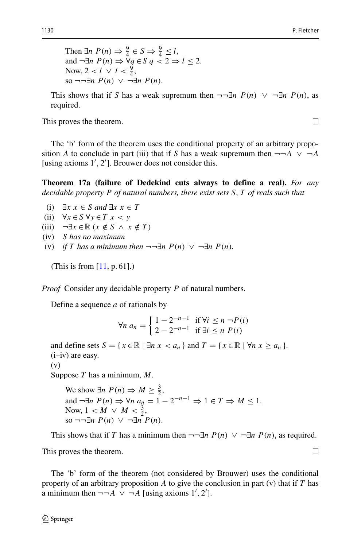Then  $\exists n \ P(n) \Rightarrow \frac{9}{4} \in S \Rightarrow \frac{9}{4} \le l$ , and  $\neg \exists n \ P(n) \Rightarrow \forall q \in S \ q < 2 \Rightarrow l \leq 2$ . Now,  $2 < l \vee l < \frac{9}{4}$ , so ¬¬∃*n P(n)* ∨ ¬∃*n P(n)*.

This shows that if *S* has a weak supremum then  $\neg \exists n \ P(n) \lor \neg \exists n \ P(n)$ , as required.

This proves the theorem.

The 'b' form of the theorem uses the conditional property of an arbitrary proposition *A* to conclude in part (iii) that if *S* has a weak supremum then  $\neg\neg A \lor \neg A$ [using axioms 1', 2']. Brouwer does not consider this.

**Theorem 17a (failure of Dedekind cuts always to define a real).** *For any decidable property P of natural numbers, there exist sets S,T of reals such that*

(i) ∃*x x* ∈ *S and* ∃*x x* ∈ *T*

(ii) ∀*x* ∈*S* ∀*y* ∈*Tx<y*

- (iii)  $\neg \exists x \in \mathbb{R} \ (x \notin S \ \land \ x \notin T)$
- (iv) *S has no maximum*
- (v) *if T* has a minimum then  $\neg\neg\exists n P(n)$  ∨  $\neg\exists n P(n)$ *.*

(This is from [\[11,](#page-44-9) p. 61].)

*Proof* Consider any decidable property *P* of natural numbers.

Define a sequence *a* of rationals by

$$
\forall n \ a_n = \begin{cases} 1 - 2^{-n-1} & \text{if } \forall i \le n - P(i) \\ 2 - 2^{-n-1} & \text{if } \exists i \le n \ P(i) \end{cases}
$$

and define sets  $S = \{x \in \mathbb{R} \mid \exists n \ x < a_n\}$  and  $T = \{x \in \mathbb{R} \mid \forall n \ x \ge a_n\}$ . (i–iv) are easy.

(v)

Suppose *T* has a minimum, *M*.

We show  $\exists n \ P(n) \Rightarrow M \geq \frac{3}{2}$ , and  $\neg \exists n \ P(n) \Rightarrow \forall n \ a_n = 1 - 2^{-n-1} \Rightarrow 1 \in T \Rightarrow M \le 1.$ Now,  $1 < M \vee M < \frac{3}{2}$ , so ¬¬∃*n P(n)* ∨ ¬∃*n P(n)*.

This shows that if *T* has a minimum then  $\neg \neg \exists n \ P(n) \lor \neg \exists n \ P(n)$ , as required.

This proves the theorem.

The 'b' form of the theorem (not considered by Brouwer) uses the conditional property of an arbitrary proposition *A* to give the conclusion in part (v) that if *T* has a minimum then  $\neg\neg A \lor \neg A$  [using axioms 1', 2'].

 $\Box$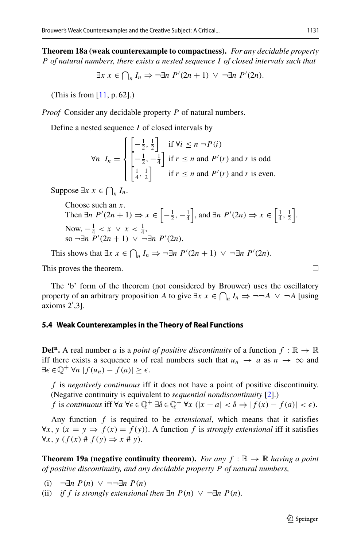**Theorem 18a (weak counterexample to compactness).** *For any decidable property P of natural numbers, there exists a nested sequence I of closed intervals such that*

$$
\exists x \ x \in \bigcap_n I_n \Rightarrow \neg \exists n \ P'(2n+1) \ \lor \ \neg \exists n \ P'(2n).
$$

(This is from [\[11,](#page-44-9) p. 62].)

*Proof* Consider any decidable property *P* of natural numbers.

Define a nested sequence *I* of closed intervals by

$$
\forall n \; I_n = \begin{cases} \begin{bmatrix} -\frac{1}{2}, \frac{1}{2} \\ -\frac{1}{2}, -\frac{1}{4} \end{bmatrix} & \text{if } \forall i \leq n \; \neg P(i) \\ -\frac{1}{2}, -\frac{1}{4} & \text{if } r \leq n \text{ and } P'(r) \text{ and } r \text{ is odd} \\ \frac{1}{4}, \frac{1}{2} & \text{if } r \leq n \text{ and } P'(r) \text{ and } r \text{ is even.} \end{bmatrix} \end{cases}
$$

Suppose  $\exists x \ x \in \bigcap_n I_n$ .

Choose such an *x*.  
\nThen 
$$
\exists n \ P'(2n + 1) \Rightarrow x \in \left[-\frac{1}{2}, -\frac{1}{4}\right]
$$
, and  $\exists n \ P'(2n) \Rightarrow x \in \left[\frac{1}{4}, \frac{1}{2}\right]$ .  
\nNow,  $-\frac{1}{4} < x \ \lor x < \frac{1}{4}$ ,  
\nso  $-\exists n \ P'(2n + 1) \ \lor \ \neg \exists n \ P'(2n)$ .

This shows that  $\exists x \ x \in \bigcap_n I_n \Rightarrow \neg \exists n \ P'(2n+1) \ \lor \ \neg \exists n \ P'(2n)$ .

This proves the theorem.

The 'b' form of the theorem (not considered by Brouwer) uses the oscillatory property of an arbitrary proposition *A* to give  $\exists x \ x \in \bigcap_n I_n \Rightarrow \neg\neg A \lor \neg A$  [using axioms 2 ,3].

#### **5.4 Weak Counterexamples in the Theory of Real Functions**

**Def<sup>n</sup>**. A real number *a* is a *point of positive discontinuity* of a function  $f : \mathbb{R} \to \mathbb{R}$ iff there exists a sequence *u* of real numbers such that  $u_n \to a$  as  $n \to \infty$  and  $\exists \epsilon \in \mathbb{Q}^+$   $\forall n$   $|f(u_n) - f(a)| \geq \epsilon$ .

*f* is *negatively continuous* iff it does not have a point of positive discontinuity. (Negative continuity is equivalent to *sequential nondiscontinuity* [\[2\]](#page-44-5).)

*f* is *continuous* iff  $\forall a \forall \epsilon \in \mathbb{Q}^+ \exists \delta \in \mathbb{Q}^+ \forall x \ (|x - a| < \delta \Rightarrow |f(x) - f(a)| < \epsilon).$ 

Any function *f* is required to be *extensional*, which means that it satisfies  $∀x, y (x = y ⇒ f(x) = f(y))$ . A function *f* is *strongly extensional* iff it satisfies ∀*x, y (f (x)* # *f (y)* ⇒ *x* # *y)*.

**Theorem 19a (negative continuity theorem).** *For any*  $f : \mathbb{R} \to \mathbb{R}$  *having a point of positive discontinuity, and any decidable property P of natural numbers,*

(i) ¬∃*n P(n)* ∨ ¬¬∃*n P(n)*

(ii) *if f* is strongly extensional then ∃n  $P(n)$   $\vee$  ¬∃n  $P(n)$ *.*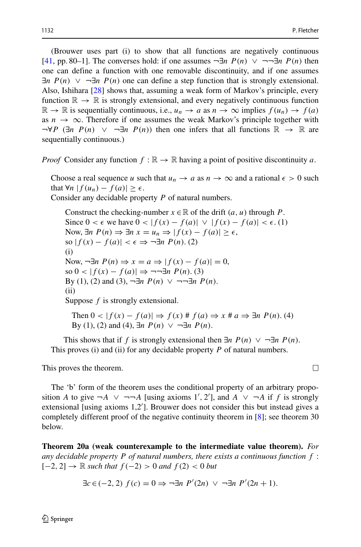(Brouwer uses part (i) to show that all functions are negatively continuous [\[41,](#page-46-1) pp. 80–1]. The converses hold: if one assumes  $\neg \exists n P(n) \lor \neg \neg \exists n P(n)$  then one can define a function with one removable discontinuity, and if one assumes ∃*n P(n)* ∨ ¬∃*n P(n)* one can define a step function that is strongly extensional. Also, Ishihara [\[28\]](#page-45-12) shows that, assuming a weak form of Markov's principle, every function  $\mathbb{R} \to \mathbb{R}$  is strongly extensional, and every negatively continuous function  $\mathbb{R} \to \mathbb{R}$  is sequentially continuous, i.e.,  $u_n \to a$  as  $n \to \infty$  implies  $f(u_n) \to f(a)$ as  $n \to \infty$ . Therefore if one assumes the weak Markov's principle together with  $\neg \forall P \; (\exists n \; P(n) \lor \neg \exists n \; P(n))$  then one infers that all functions  $\mathbb{R} \to \mathbb{R}$  are sequentially continuous.)

*Proof* Consider any function  $f : \mathbb{R} \to \mathbb{R}$  having a point of positive discontinuity *a*.

Choose a real sequence *u* such that  $u_n \to a$  as  $n \to \infty$  and a rational  $\epsilon > 0$  such that  $\forall n |f(u_n) - f(a)| \geq \epsilon$ .

Consider any decidable property *P* of natural numbers.

Construct the checking-number  $x \in \mathbb{R}$  of the drift  $(a, u)$  through *P*. Since 0 <  $\epsilon$  we have 0 <  $|f(x) - f(a)|$  ∨  $|f(x) - f(a)|$  <  $\epsilon$ . (1) Now,  $\exists n \ P(n) \Rightarrow \exists n \ x = u_n \Rightarrow |f(x) - f(a)| \geq \epsilon$ , so  $|f(x) - f(a)| < \epsilon$  ⇒ ¬∃*n*  $P(n)$ . (2) (i) Now,  $\neg \exists n \ P(n) \Rightarrow x = a \Rightarrow |f(x) - f(a)| = 0,$ so 0 <  $|f(x) - f(a)|$  ⇒ ¬¬∃*n*  $P(n)$ . (3) By (1), (2) and (3),  $\neg \exists n \ P(n) \ \lor \ \neg \neg \exists n \ P(n)$ . (ii)

Suppose *f* is strongly extensional.

Then  $0 < |f(x) - f(a)| \Rightarrow f(x) \neq f(a) \Rightarrow x \neq a \Rightarrow \exists n \ P(n)$ . (4) By (1), (2) and (4),  $\exists n \ P(n)$  ∨  $\neg \exists n \ P(n)$ .

This shows that if *f* is strongly extensional then  $\exists n \ P(n) \lor \neg \exists n \ P(n)$ . This proves (i) and (ii) for any decidable property *P* of natural numbers.

This proves the theorem.

The 'b' form of the theorem uses the conditional property of an arbitrary proposition *A* to give  $\neg A \lor \neg\neg A$  [using axioms 1', 2'], and  $A \lor \neg A$  if f is strongly extensional [using axioms 1,2']. Brouwer does not consider this but instead gives a completely different proof of the negative continuity theorem in [\[8\]](#page-44-12); see theorem 30 below.

**Theorem 20a (weak counterexample to the intermediate value theorem).** *For any decidable property P of natural numbers, there exists a continuous function f* : [−2*,* 2] → R *such that f (*−2*) >* 0 *and f (*2*) <* 0 *but*

$$
\exists c \in (-2, 2) \ f(c) = 0 \Rightarrow \neg \exists n \ P'(2n) \ \lor \ \neg \exists n \ P'(2n+1).
$$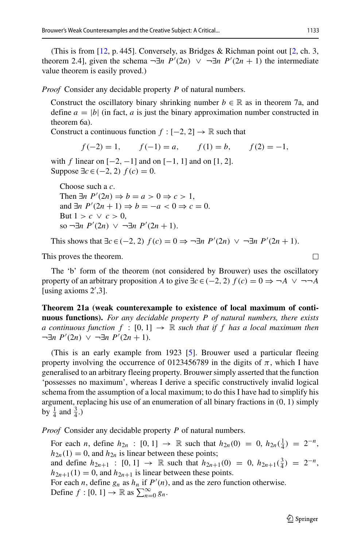(This is from [\[12,](#page-44-7) p. 445]. Conversely, as Bridges & Richman point out [\[2,](#page-44-5) ch. 3, theorem 2.4], given the schema  $\neg \exists n \ P'(2n) \lor \neg \exists n \ P'(2n+1)$  the intermediate value theorem is easily proved.)

*Proof* Consider any decidable property *P* of natural numbers.

Construct the oscillatory binary shrinking number  $b \in \mathbb{R}$  as in theorem 7a, and define  $a = |b|$  (in fact, *a* is just the binary approximation number constructed in theorem 6a).

Construct a continuous function  $f : [-2, 2] \rightarrow \mathbb{R}$  such that

$$
f(-2) = 1,
$$
  $f(-1) = a,$   $f(1) = b,$   $f(2) = -1,$ 

with *f* linear on [−2*,* −1] and on [−1*,* 1] and on [1*,* 2]. Suppose  $∃c ∈ (−2, 2) f(c) = 0$ .

Choose such a *c*. Then  $\exists n \ P'(2n) \Rightarrow b = a > 0 \Rightarrow c > 1$ , and  $\exists n \ P'(2n+1) \Rightarrow b = -a < 0 \Rightarrow c = 0.$ But  $1 > c \lor c > 0$ , so ¬∃*n*  $P'(2n)$  ∨ ¬∃*n*  $P'(2n + 1)$ .

This shows that  $\exists c \in (-2, 2)$   $f(c) = 0 \Rightarrow \neg \exists n \ P'(2n) \lor \neg \exists n \ P'(2n+1)$ .

This proves the theorem.

The 'b' form of the theorem (not considered by Brouwer) uses the oscillatory property of an arbitrary proposition *A* to give  $\exists c \in (-2, 2)$   $f(c) = 0 \Rightarrow \neg A \lor \neg \neg A$ [using axioms 2',3].

**Theorem 21a (weak counterexample to existence of local maximum of continuous functions).** *For any decidable property P of natural numbers, there exists a continuous function*  $f : [0, 1] \rightarrow \mathbb{R}$  *such that if*  $f$  *has a local maximum then*  $\neg \exists n \; P'(2n) \lor \neg \exists n \; P'(2n+1)$ *.* 

(This is an early example from 1923 [\[5\]](#page-44-1). Brouwer used a particular fleeing property involving the occurrence of 0123456789 in the digits of  $\pi$ , which I have generalised to an arbitrary fleeing property. Brouwer simply asserted that the function 'possesses no maximum', whereas I derive a specific constructively invalid logical schema from the assumption of a local maximum; to do this I have had to simplify his argument, replacing his use of an enumeration of all binary fractions in *(*0*,* 1*)* simply by  $\frac{1}{4}$  and  $\frac{3}{4}$ .)

*Proof* Consider any decidable property *P* of natural numbers.

For each *n*, define  $h_{2n}$ :  $[0, 1] \rightarrow \mathbb{R}$  such that  $h_{2n}(0) = 0$ ,  $h_{2n}(\frac{1}{4}) = 2^{-n}$ ,  $h_{2n}(1) = 0$ , and  $h_{2n}$  is linear between these points; and define  $h_{2n+1}$  :  $[0, 1] \rightarrow \mathbb{R}$  such that  $h_{2n+1}(0) = 0$ ,  $h_{2n+1}(\frac{3}{4}) = 2^{-n}$ ,  $h_{2n+1}(1) = 0$ , and  $h_{2n+1}$  is linear between these points. For each *n*, define  $g_n$  as  $h_n$  if  $P'(n)$ , and as the zero function otherwise. Define  $f : [0, 1] \to \mathbb{R}$  as  $\sum_{n=0}^{\infty} g_n$ .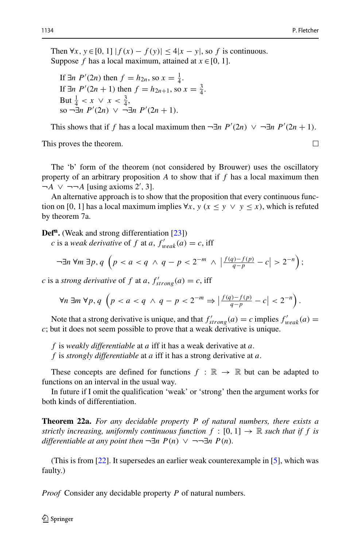Then  $\forall x, y \in [0, 1]$   $|f(x) - f(y)| \leq 4|x - y|$ , so f is continuous. Suppose *f* has a local maximum, attained at  $x \in [0, 1]$ .

If 
$$
\exists n \ P'(2n)
$$
 then  $f = h_{2n}$ , so  $x = \frac{1}{4}$ .  
\nIf  $\exists n \ P'(2n + 1)$  then  $f = h_{2n+1}$ , so  $x = \frac{3}{4}$ .  
\nBut  $\frac{1}{4} < x \lor x < \frac{3}{4}$ ,  
\nso  $-\exists n \ P'(2n) \lor \neg \exists n \ P'(2n+1)$ .

This shows that if *f* has a local maximum then  $\neg \exists n \ P'(2n) \lor \neg \exists n \ P'(2n+1)$ .

This proves the theorem.

The 'b' form of the theorem (not considered by Brouwer) uses the oscillatory property of an arbitrary proposition *A* to show that if *f* has a local maximum then  $\neg A \lor \neg \neg A$  [using axioms 2', 3].

An alternative approach is to show that the proposition that every continuous function on [0, 1] has a local maximum implies  $\forall x, y \ (x \leq y \lor y \leq x)$ , which is refuted by theorem 7a.

**Def<sup>n</sup>**. (Weak and strong differentiation [\[23\]](#page-45-13))

*c* is a *weak derivative* of *f* at *a*,  $f'_{weak}(a) = c$ , iff

$$
\neg \exists n \,\forall m \,\exists p, q \,\left(p < a < q \,\wedge\, q - p < 2^{-m} \,\wedge\, \left|\frac{f(q)-f(p)}{q-p} - c\right| > 2^{-n}\right);
$$

*c* is a *strong derivative* of *f* at *a*,  $f'_{strong}(a) = c$ , iff

$$
\forall n \ \exists m \ \forall p, q \ \left( p < a < q \ \land \ q - p < 2^{-m} \Rightarrow \left| \frac{f(q) - f(p)}{q - p} - c \right| < 2^{-n} \right).
$$

Note that a strong derivative is unique, and that  $f'_{strong}(a) = c$  implies  $f'_{weak}(a) = c$ *c*; but it does not seem possible to prove that a weak derivative is unique.

*f* is *weakly differentiable* at *a* iff it has a weak derivative at *a*.

*f* is *strongly differentiable* at *a* iff it has a strong derivative at *a*.

These concepts are defined for functions  $f : \mathbb{R} \to \mathbb{R}$  but can be adapted to functions on an interval in the usual way.

In future if I omit the qualification 'weak' or 'strong' then the argument works for both kinds of differentiation.

**Theorem 22a.** *For any decidable property P of natural numbers, there exists a strictly increasing, uniformly continuous function*  $f : [0, 1] \rightarrow \mathbb{R}$  *such that if*  $f$  *is differentiable at any point then*  $\neg \exists n \ P(n) \ \lor \ \neg \neg \exists n \ P(n)$ *.* 

(This is from [\[22\]](#page-45-14). It supersedes an earlier weak counterexample in [\[5\]](#page-44-1), which was faulty.)

*Proof* Consider any decidable property *P* of natural numbers.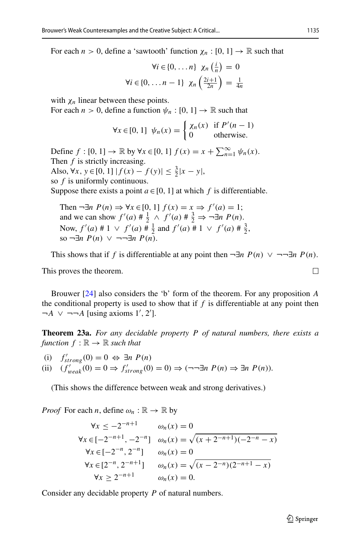For each  $n > 0$ , define a 'sawtooth' function  $\chi_n : [0, 1] \to \mathbb{R}$  such that

$$
\forall i \in \{0, \dots n\} \ \chi_n\left(\frac{i}{n}\right) = 0
$$
  

$$
\forall i \in \{0, \dots n-1\} \ \chi_n\left(\frac{2i+1}{2n}\right) = \frac{1}{4n}
$$

with  $\chi_n$  linear between these points.

For each  $n > 0$ , define a function  $\psi_n : [0, 1] \to \mathbb{R}$  such that

$$
\forall x \in [0, 1] \ \psi_n(x) = \begin{cases} \chi_n(x) & \text{if } P'(n-1) \\ 0 & \text{otherwise.} \end{cases}
$$

Define  $f : [0, 1] \to \mathbb{R}$  by  $\forall x \in [0, 1]$   $f(x) = x + \sum_{n=1}^{\infty} \psi_n(x)$ . Then *f* is strictly increasing. Also,  $\forall x, y \in [0, 1]$   $|f(x) - f(y)| \le \frac{3}{2}|x - y|$ , so *f* is uniformly continuous. Suppose there exists a point  $a \in [0, 1]$  at which  $f$  is differentiable.

Then  $\neg \exists n \ P(n) \Rightarrow \forall x \in [0, 1] \ f(x) = x \Rightarrow f'(a) = 1;$ and we can show  $f'(a) \neq \frac{1}{2} \land f'(a) \neq \frac{3}{2} \Rightarrow \neg \exists n \ P(n)$ . Now,  $f'(a) \neq 1 \vee f'(a) \neq \frac{1}{2}$  and  $f'(a) \neq 1 \vee f'(a) \neq \frac{3}{2}$ , so ¬∃*n P(n)* ∨ ¬¬∃*n P(n)*.

This shows that if *f* is differentiable at any point then  $\neg \exists n \ P(n) \lor \neg \neg \exists n \ P(n)$ .

This proves the theorem.

Brouwer [\[24\]](#page-45-15) also considers the 'b' form of the theorem. For any proposition *A* the conditional property is used to show that if  $f$  is differentiable at any point then  $\neg A \lor \neg \neg A$  [using axioms 1', 2'].

**Theorem 23a.** *For any decidable property P of natural numbers, there exists a function*  $f : \mathbb{R} \to \mathbb{R}$  *such that* 

(i) 
$$
f'_{strong}(0) = 0 \Leftrightarrow \exists n \ P(n)
$$
  
\n(ii)  $(f'_{weak}(0) = 0 \Rightarrow f'_{strong}(0) = 0) \Rightarrow (\neg \neg \exists n \ P(n) \Rightarrow \exists n \ P(n)).$ 

(This shows the difference between weak and strong derivatives.)

*Proof* For each *n*, define  $\omega_n : \mathbb{R} \to \mathbb{R}$  by

$$
\forall x \le -2^{-n+1} \qquad \omega_n(x) = 0
$$
  
\n
$$
\forall x \in [-2^{-n+1}, -2^{-n}] \qquad \omega_n(x) = \sqrt{(x+2^{-n+1})(-2^{-n}-x)}
$$
  
\n
$$
\forall x \in [-2^{-n}, 2^{-n}] \qquad \omega_n(x) = 0
$$
  
\n
$$
\forall x \in [2^{-n}, 2^{-n+1}] \qquad \omega_n(x) = \sqrt{(x-2^{-n})(2^{-n+1}-x)}
$$
  
\n
$$
\forall x \ge 2^{-n+1} \qquad \omega_n(x) = 0.
$$

Consider any decidable property *P* of natural numbers.

П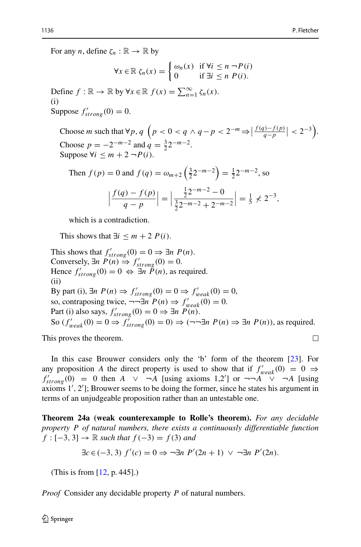For any *n*, define  $\zeta_n : \mathbb{R} \to \mathbb{R}$  by

$$
\forall x \in \mathbb{R} \ \zeta_n(x) = \begin{cases} \omega_n(x) & \text{if } \forall i \leq n \ \neg P(i) \\ 0 & \text{if } \exists i \leq n \ P(i). \end{cases}
$$

Define  $f : \mathbb{R} \to \mathbb{R}$  by  $\forall x \in \mathbb{R}$   $f(x) = \sum_{n=1}^{\infty} \zeta_n(x)$ . (i) Suppose  $f'_{strong}(0) = 0$ .

Choose *m* such that  $\forall p, q \ (p < 0 < q \land q - p < 2^{-m} \Rightarrow)$ *f (q)*−*f (p)*  $\left| \frac{p- f(p)}{q-p} \right| < 2^{-3}.$ Choose  $p = -2^{-m-2}$  and  $q = \frac{3}{2}2^{-m-2}$ . Suppose  $\forall i \leq m+2 \neg P(i)$ .

Then 
$$
f(p) = 0
$$
 and  $f(q) = \omega_{m+2} \left(\frac{3}{2} 2^{-m-2}\right) = \frac{1}{2} 2^{-m-2}$ , so  

$$
\left|\frac{f(q) - f(p)}{q - p}\right| = \left|\frac{\frac{1}{2} 2^{-m-2} - 0}{\frac{3}{2} 2^{-m-2} + 2^{-m-2}}\right| = \frac{1}{5} \neq 2^{-3},
$$

which is a contradiction.

This shows that  $\exists i \leq m+2$  *P(i)*.

This shows that  $f'_{strong}(0) = 0 \Rightarrow \exists n \ P(n)$ . Conversely,  $\exists n \ P(n) \Rightarrow f'_{strong}(0) = 0.$ Hence  $f'_{strong}(0) = 0 \Leftrightarrow \exists n \ \tilde{P}(n)$ , as required. (ii) By part (i),  $\exists n \ P(n) \Rightarrow f'_{strong}(0) = 0 \Rightarrow f'_{weak}(0) = 0$ , so, contraposing twice,  $\neg \exists n \ P(n) \Rightarrow f'_{weak}(0) = 0.$ Part (i) also says,  $f'_{strong}(0) = 0 \Rightarrow \exists n \ P(n)$ . So  $(f'_{weak}(0) = 0 \Rightarrow f'_{strong}(0) = 0) \Rightarrow (\neg \neg \exists n \ P(n) \Rightarrow \exists n \ P(n))$ , as required.

This proves the theorem.

In this case Brouwer considers only the 'b' form of the theorem [\[23\]](#page-45-13). For any proposition *A* the direct property is used to show that if  $f'_{weak}(0) = 0 \Rightarrow$  $f'_{strong}(0) = 0$  then  $A \vee \neg A$  [using axioms 1,2'] or  $\neg \neg A \vee \neg A$  [using axioms 1', 2']; Brouwer seems to be doing the former, since he states his argument in terms of an unjudgeable proposition rather than an untestable one.

**Theorem 24a (weak counterexample to Rolle's theorem).** *For any decidable property P of natural numbers, there exists a continuously differentiable function*  $f:[-3, 3] \rightarrow \mathbb{R}$  *such that*  $f(-3) = f(3)$  *and* 

$$
\exists c \in (-3, 3) \ f'(c) = 0 \Rightarrow \neg \exists n \ P'(2n+1) \ \lor \ \neg \exists n \ P'(2n).
$$

(This is from [\[12,](#page-44-7) p. 445].)

*Proof* Consider any decidable property *P* of natural numbers.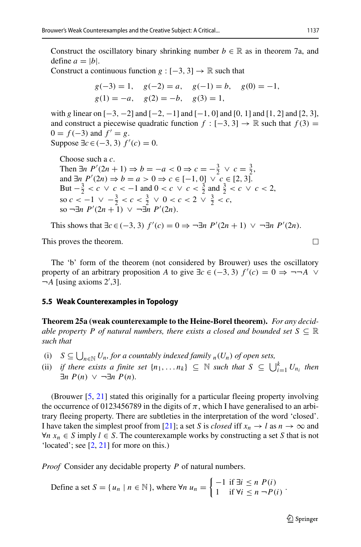Construct the oscillatory binary shrinking number  $b \in \mathbb{R}$  as in theorem 7a, and define  $a = |b|$ .

Construct a continuous function  $g : [-3, 3] \rightarrow \mathbb{R}$  such that

$$
g(-3) = 1
$$
,  $g(-2) = a$ ,  $g(-1) = b$ ,  $g(0) = -1$ ,  
\n $g(1) = -a$ ,  $g(2) = -b$ ,  $g(3) = 1$ ,

with *g* linear on [−3*,* −2] and [−2*,* −1] and [−1*,* 0] and [0*,* 1] and [1*,* 2] and [2*,* 3], and construct a piecewise quadratic function  $f : [-3, 3] \rightarrow \mathbb{R}$  such that  $f(3) =$  $0 = f(-3)$  and  $f' = g$ . Suppose  $\exists c \in (-3, 3)$   $f'(c) = 0$ .

Choose such a *c*. Then  $\exists n \ P'(2n+1) \Rightarrow b = -a < 0 \Rightarrow c = -\frac{3}{2} \lor c = \frac{3}{2}$ , and  $\exists n \ P'(2n) \Rightarrow b = a > 0 \Rightarrow c \in [-1, 0] \ \vee \ c \in [2, 3].$ But  $-\frac{3}{2} < c \lor c < -1$  and  $0 < c \lor c < \frac{3}{2}$  and  $\frac{3}{2} < c \lor c < 2$ , so  $c < -1 \vee -\frac{3}{2} < c < \frac{3}{2} \vee 0 < c < 2 \vee \frac{3}{2} < c$ ,  $\sin^{-1} P'(2n+1)$  ∨ ¬∃*n*  $P'(2n)$ .

This shows that  $\exists c \in (-3, 3)$   $f'(c) = 0 \Rightarrow \neg \exists n \ P'(2n + 1) \lor \neg \exists n \ P'(2n)$ .

This proves the theorem.

The 'b' form of the theorem (not considered by Brouwer) uses the oscillatory property of an arbitrary proposition *A* to give  $\exists c \in (-3, 3)$   $f'(c) = 0 \Rightarrow \neg\neg A \lor \neg B$  $\neg A$  [using axioms 2',3].

### **5.5 Weak Counterexamples in Topology**

**Theorem 25a (weak counterexample to the Heine-Borel theorem).** *For any decidable property P of natural numbers, there exists a closed and bounded set*  $S \subseteq \mathbb{R}$ *such that*

- (i)  $S \subseteq \bigcup_{n \in \mathbb{N}} U_n$ , for a countably indexed family  $_n(U_n)$  of open sets,
- (ii) *if there exists a finite set*  $\{n_1, \ldots n_k\} \subseteq \mathbb{N}$  *such that*  $S \subseteq \bigcup_{i=1}^k U_{n_i}$  *then* ∃*n P(n)* ∨ ¬∃*n P(n).*

(Brouwer [\[5,](#page-44-1) [21\]](#page-45-16) stated this originally for a particular fleeing property involving the occurrence of 0123456789 in the digits of  $\pi$ , which I have generalised to an arbitrary fleeing property. There are subtleties in the interpretation of the word 'closed'. I have taken the simplest proof from [\[21\]](#page-45-16); a set *S* is *closed* iff  $x_n \to l$  as  $n \to \infty$  and  $\forall n$  *x<sub>n</sub>* ∈ *S* imply *l* ∈ *S*. The counterexample works by constructing a set *S* that is not 'located'; see [\[2,](#page-44-5) [21\]](#page-45-16) for more on this.)

*Proof* Consider any decidable property *P* of natural numbers.

Define a set 
$$
S = \{u_n \mid n \in \mathbb{N}\}\
$$
, where  $\forall n u_n = \begin{cases} -1 & \text{if } \exists i \le n \ P(i) \\ 1 & \text{if } \forall i \le n \ \neg P(i) \end{cases}$ .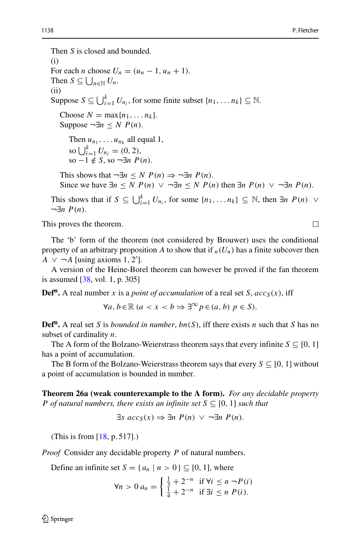Then *S* is closed and bounded.

so  $-1 \notin S$ , so  $\neg \exists n \; P(n)$ .

(i) For each *n* choose  $U_n = (u_n - 1, u_n + 1)$ . Then  $S \subseteq \bigcup_{n \in \mathbb{N}} U_n$ . (ii) Suppose  $S \subseteq \bigcup_{i=1}^{k} U_{n_i}$ , for some finite subset  $\{n_1, \ldots n_k\} \subseteq \mathbb{N}$ . Choose  $N = \max\{n_1, \ldots n_k\}.$ Suppose  $\neg \exists n \leq N \ P(n)$ . Then  $u_{n_1}, \ldots, u_{n_k}$  all equal 1, so  $\bigcup_{i=1}^{k} U_{n_i} = (0, 2),$ 

This shows that  $\neg \exists n \leq N \ P(n) \Rightarrow \neg \exists n \ P(n)$ . Since we have  $\exists n \leq N \ P(n) \lor \neg \exists n \leq N \ P(n)$  then  $\exists n \ P(n) \lor \neg \exists n \ P(n)$ .

This shows that if  $S \subseteq \bigcup_{i=1}^{k} U_{n_i}$ , for some  $\{n_1, \ldots n_k\} \subseteq \mathbb{N}$ , then  $\exists n \ P(n) \ \vee$ ¬∃*n P(n)*.

This proves the theorem.

The 'b' form of the theorem (not considered by Brouwer) uses the conditional property of an arbitrary proposition *A* to show that if  $_n(U_n)$  has a finite subcover then  $A \lor \neg A$  [using axioms 1, 2'].

A version of the Heine-Borel theorem can however be proved if the fan theorem is assumed [\[38,](#page-45-5) vol. 1, p. 305]

**Def<sup>n</sup>**. A real number *x* is a *point of accumulation* of a real set *S*,  $acc_S(x)$ , iff

$$
\forall a, b \in \mathbb{R} \ (a < x < b \Rightarrow \exists^{\infty} p \in (a, b) \ p \in S).
$$

**Def<sup>n</sup>**. A real set *S* is *bounded in number*, *bn(S)*, iff there exists *n* such that *S* has no subset of cardinality *n*.

The A form of the Bolzano-Weierstrass theorem says that every infinite  $S \subseteq [0, 1]$ has a point of accumulation.

The B form of the Bolzano-Weierstrass theorem says that every  $S \subseteq [0, 1]$  without a point of accumulation is bounded in number.

**Theorem 26a (weak counterexample to the A form).** *For any decidable property P of natural numbers, there exists an infinite set*  $S \subseteq [0, 1]$  *such that* 

$$
\exists x \; acc_S(x) \Rightarrow \exists n \; P(n) \; \vee \; \neg \exists n \; P(n).
$$

(This is from [\[18,](#page-45-17) p. 517].)

*Proof* Consider any decidable property *P* of natural numbers.

Define an infinite set  $S = \{a_n \mid n > 0\} \subseteq [0, 1]$ , where

$$
\forall n > 0 \ a_n = \begin{cases} \frac{1}{3} + 2^{-n} & \text{if } \forall i \le n - P(i) \\ \frac{1}{4} + 2^{-n} & \text{if } \exists i \le n \ P(i). \end{cases}
$$

 $\mathcal{D}$  Springer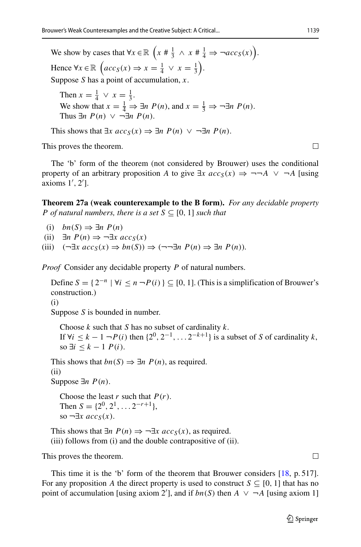We show by cases that  $\forall x \in \mathbb{R} \left( x \neq \frac{1}{3} \land x \neq \frac{1}{4} \Rightarrow \neg acc_S(x) \right)$ . Hence  $\forall x \in \mathbb{R} \ \left( acc_S(x) \Rightarrow x = \frac{1}{4} \lor x = \frac{1}{3} \right).$ Suppose *S* has a point of accumulation, *x*.

Then  $x = \frac{1}{4} \lor x = \frac{1}{3}$ . We show that  $x = \frac{1}{4} \Rightarrow \exists n \ P(n)$ , and  $x = \frac{1}{3} \Rightarrow \neg \exists n \ P(n)$ . Thus  $\exists n \ P(n) \lor \neg \exists n \ P(n)$ .

This shows that  $\exists x \text{ } acc_S(x) \Rightarrow \exists n \text{ } P(n) \vee \neg \exists n \text{ } P(n)$ .

This proves the theorem.

The 'b' form of the theorem (not considered by Brouwer) uses the conditional property of an arbitrary proposition *A* to give  $\exists x \text{ } acc_S(x) \Rightarrow \neg\neg A \lor \neg A$  [using axioms 1 *,* 2 ].

**Theorem 27a (weak counterexample to the B form).** *For any decidable property P of natural numbers, there is a set*  $S \subseteq [0, 1]$  *such that* 

- (i) *bn(S)* ⇒ ∃*n P(n)*
- $(ii)$  ∃*n*  $P(n)$   $\Rightarrow$  ¬∃*x acc<sub>S</sub>*(*x*)

 $(iii)$   $(\neg \exists x \text{ acc}_{S}(x) \Rightarrow \text{bn}(S)) \Rightarrow (\neg \neg \exists n \text{ } P(n) \Rightarrow \exists n \text{ } P(n))$ *.* 

*Proof* Consider any decidable property *P* of natural numbers.

Define  $S = \{2^{-n} | \forall i \leq n \neg P(i) \}$  ⊆ [0, 1]. (This is a simplification of Brouwer's construction.)

(i)

Suppose *S* is bounded in number.

Choose *k* such that *S* has no subset of cardinality *k*. If ∀*i* ≤ *k* − 1 ¬*P(i)* then {20*,* 2−1*,...* 2−*k*+1} is a subset of *S* of cardinality *k*, so  $\exists i$  < *k* − 1 *P*(*i*).

This shows that  $bn(S) \Rightarrow \exists n \ P(n)$ , as required. (ii) Suppose ∃*n P(n)*.

Choose the least *r* such that *P(r)*. Then  $S = \{2^0, 2^1, \ldots 2^{-r+1}\},\$  $\sec s(x)$ .

This shows that  $\exists n \ P(n) \Rightarrow \neg \exists x \ acc_{S}(x)$ , as required. (iii) follows from (i) and the double contrapositive of (ii).

This proves the theorem.

This time it is the 'b' form of the theorem that Brouwer considers [\[18,](#page-45-17) p. 517]. For any proposition *A* the direct property is used to construct  $S \subseteq [0, 1]$  that has no point of accumulation [using axiom 2'], and if  $bn(S)$  then  $A \vee \neg A$  [using axiom 1]

 $\Box$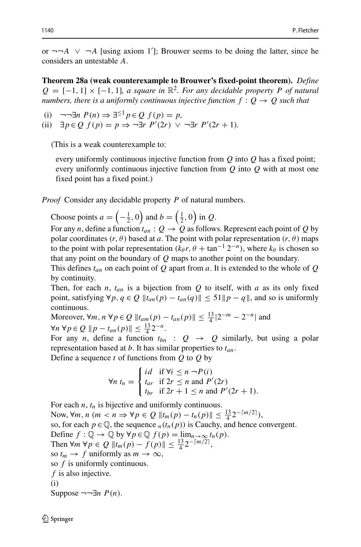or  $\neg\neg A \lor \neg A$  [using axiom 1']; Brouwer seems to be doing the latter, since he considers an untestable *A*.

**Theorem 28a (weak counterexample to Brouwer's fixed-point theorem).** *Define*  $Q = [-1, 1] \times [-1, 1]$ , a square in  $\mathbb{R}^2$ . For any decidable property P of natural *numbers, there is a uniformly continuous injective function*  $f: Q \rightarrow Q$  *such that* 

(i) ¬¬∃*n P(n)* ⇒ ∃≤1*p*∈*Q f (p)* = *p,* (ii)  $\exists p \in Q \ f(p) = p \Rightarrow \neg \exists r \ P'(2r) \lor \neg \exists r \ P'(2r+1)$ *.* 

(This is a weak counterexample to:

every uniformly continuous injective function from *Q* into *Q* has a fixed point; every uniformly continuous injective function from *Q* into *Q* with at most one fixed point has a fixed point.)

*Proof* Consider any decidable property *P* of natural numbers.

Choose points  $a = \left(-\frac{1}{2}, 0\right)$  and  $b = \left(\frac{1}{2}, 0\right)$  in  $Q$ .

For any *n*, define a function  $t_{an}: Q \rightarrow Q$  as follows. Represent each point of Q by polar coordinates  $(r, \theta)$  based at *a*. The point with polar representation  $(r, \theta)$  maps to the point with polar representation  $(k_\theta r, \theta + \tan^{-1} 2^{-n})$ , where  $k_\theta$  is chosen so that any point on the boundary of *Q* maps to another point on the boundary.

This defines *tan* on each point of *Q* apart from *a*. It is extended to the whole of *Q* by continuity.

Then, for each *n*,  $t_{an}$  is a bijection from  $Q$  to itself, with  $a$  as its only fixed point, satisfying  $\forall p, q \in Q$   $||t_{an}(p) - t_{an}(q)|| \leq 51 ||p - q||$ , and so is uniformly continuous.

Moreover,  $\forall m, n \forall p \in Q \ \| t_{am}(p) - t_{an}(p) \| \leq \frac{13}{4} |2^{-m} - 2^{-n}|$  and  $\forall n \ \forall p \in Q \ \|p - t_{an}(p)\| \leq \frac{13}{4} 2^{-n}.$ 

For any *n*, define a function  $t_{bn}$  :  $Q \rightarrow Q$  similarly, but using a polar representation based at *b*. It has similar properties to *tan*.

Define a sequence *t* of functions from *Q* to *Q* by

$$
\forall n \ t_n = \begin{cases} id & \text{if } \forall i \leq n \neg P(i) \\ t_{ar} & \text{if } 2r \leq n \text{ and } P'(2r) \\ t_{br} & \text{if } 2r + 1 \leq n \text{ and } P'(2r + 1). \end{cases}
$$

For each  $n$ ,  $t_n$  is bijective and uniformly continuous. Now,  $\forall m, n \ (m \le n \Rightarrow \forall p \in Q \ \| t_m(p) - t_n(p) \| \le \frac{13}{4} 2^{-\lceil m/2 \rceil}$ ), so, for each  $p \in \mathbb{Q}$ , the sequence  $n(t_n(p))$  is Cauchy, and hence convergent. Define  $f: \mathbb{Q} \to \mathbb{Q}$  by  $\forall p \in \mathbb{Q}$   $f(p) = \lim_{n \to \infty} t_n(p)$ . Then  $\forall m \forall p \in Q \ \|t_m(p) - f(p)\| \leq \frac{13}{4} 2^{-\lceil m/2 \rceil},$ so  $t_m \to f$  uniformly as  $m \to \infty$ , so *f* is uniformly continuous. *f* is also injective. (i) Suppose ¬¬∃*n P(n)*.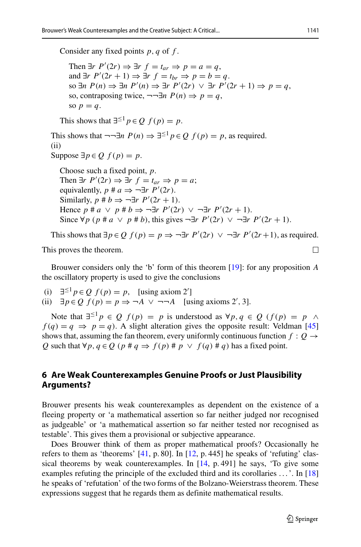Consider any fixed points *p,q* of *f* .

Then  $\exists r \ P'(2r) \Rightarrow \exists r \ f = t_{ar} \Rightarrow p = a = q$ , and  $\exists r \ P'(2r + 1) \Rightarrow \exists r \ f = t_{br} \Rightarrow p = b = q.$ so  $\exists n \ P(n) \Rightarrow \exists n \ P'(n) \Rightarrow \exists r \ P'(2r) \lor \exists r \ P'(2r+1) \Rightarrow p = q$ , so, contraposing twice,  $\neg\neg \exists n \ P(n) \Rightarrow p = q$ , so  $p = q$ .

This shows that  $\exists^{\leq 1} p \in O$   $f(p) = p$ .

This shows that  $\neg\neg \exists n \ P(n) \Rightarrow \exists^{\leq 1} p \in Q \ f(p) = p$ , as required. (ii) Suppose ∃ $p ∈ Q f(p) = p$ .

Choose such a fixed point, *p*. Then  $\exists r \ P'(2r) \Rightarrow \exists r \ f = t_{ar} \Rightarrow p = a;$ equivalently,  $p \nparallel a \Rightarrow \neg \exists r \ P'(2r)$ . Similarly,  $p \nleftrightarrow b \Rightarrow \neg \exists r \ P'(2r + 1)$ . Hence  $p \# a \lor p \# b \Rightarrow \neg \exists r \ P'(2r) \lor \neg \exists r \ P'(2r+1)$ . Since  $\forall p \ (p \# a \lor p \# b)$ , this gives  $\neg \exists r \ P'(2r) \lor \neg \exists r \ P'(2r+1)$ .

This shows that  $\exists p \in Q$   $f(p) = p \Rightarrow \neg \exists r \ P'(2r) \lor \neg \exists r \ P'(2r+1)$ , as required.

This proves the theorem.

Brouwer considers only the 'b' form of this theorem [\[19\]](#page-45-18): for any proposition *A* the oscillatory property is used to give the conclusions

- (i)  $\exists^{\leq 1} p \in Q$  *f*(*p*) = *p*, [using axiom 2']
- (ii)  $∃p ∈ Q f(p) = p ⇒ ¬A ∨ ¬¬A$  [using axioms 2', 3].

Note that  $\exists^{\leq 1} p \in Q$   $f(p) = p$  is understood as  $\forall p, q \in Q$  ( $f(p) = p \land q$  $f(q) = q \Rightarrow p = q$ ). A slight alteration gives the opposite result: Veldman [\[45\]](#page-46-2) shows that, assuming the fan theorem, every uniformly continuous function  $f: Q \rightarrow$ *Q* such that  $\forall p, q \in Q$  ( $p \# q \Rightarrow f(p) \# p \lor f(q) \# q$ ) has a fixed point.

# **6 Are Weak Counterexamples Genuine Proofs or Just Plausibility Arguments?**

Brouwer presents his weak counterexamples as dependent on the existence of a fleeing property or 'a mathematical assertion so far neither judged nor recognised as judgeable' or 'a mathematical assertion so far neither tested nor recognised as testable'. This gives them a provisional or subjective appearance.

Does Brouwer think of them as proper mathematical proofs? Occasionally he refers to them as 'theorems'  $[41, p. 80]$  $[41, p. 80]$ . In  $[12, p. 445]$  $[12, p. 445]$  he speaks of 'refuting' classical theorems by weak counterexamples. In [\[14,](#page-44-10) p. 491] he says, 'To give some examples refuting the principle of the excluded third and its corollaries ...'. In [\[18\]](#page-45-17) he speaks of 'refutation' of the two forms of the Bolzano-Weierstrass theorem. These expressions suggest that he regards them as definite mathematical results.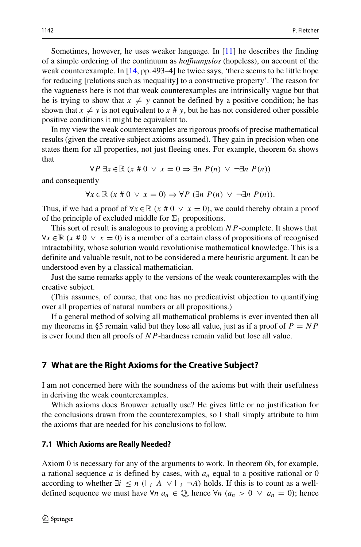Sometimes, however, he uses weaker language. In [\[11\]](#page-44-9) he describes the finding of a simple ordering of the continuum as *hoffnungslos* (hopeless), on account of the weak counterexample. In [\[14,](#page-44-10) pp. 493–4] he twice says, 'there seems to be little hope for reducing [relations such as inequality] to a constructive property'. The reason for the vagueness here is not that weak counterexamples are intrinsically vague but that he is trying to show that  $x \neq y$  cannot be defined by a positive condition; he has shown that  $x \neq y$  is not equivalent to  $x \neq y$ , but he has not considered other possible positive conditions it might be equivalent to.

In my view the weak counterexamples are rigorous proofs of precise mathematical results (given the creative subject axioms assumed). They gain in precision when one states them for all properties, not just fleeing ones. For example, theorem 6a shows that

$$
\forall P \exists x \in \mathbb{R} \ (x \neq 0 \lor x = 0 \Rightarrow \exists n \ P(n) \lor \neg \exists n \ P(n))
$$

and consequently

$$
\forall x \in \mathbb{R} \ (x \neq 0 \ \lor \ x = 0) \Rightarrow \forall P \ (\exists n \ P(n) \ \lor \ \neg \exists n \ P(n)).
$$

Thus, if we had a proof of  $\forall x \in \mathbb{R}$  ( $x \neq 0 \lor x = 0$ ), we could thereby obtain a proof of the principle of excluded middle for  $\Sigma_1$  propositions.

This sort of result is analogous to proving a problem *NP*-complete. It shows that  $∀x ∈ ℝ (x # 0 ∨ x = 0)$  is a member of a certain class of propositions of recognised intractability, whose solution would revolutionise mathematical knowledge. This is a definite and valuable result, not to be considered a mere heuristic argument. It can be understood even by a classical mathematician.

Just the same remarks apply to the versions of the weak counterexamples with the creative subject.

(This assumes, of course, that one has no predicativist objection to quantifying over all properties of natural numbers or all propositions.)

If a general method of solving all mathematical problems is ever invented then all my theorems in §5 remain valid but they lose all value, just as if a proof of  $P = NP$ is ever found then all proofs of *NP*-hardness remain valid but lose all value.

# **7 What are the Right Axioms for the Creative Subject?**

I am not concerned here with the soundness of the axioms but with their usefulness in deriving the weak counterexamples.

Which axioms does Brouwer actually use? He gives little or no justification for the conclusions drawn from the counterexamples, so I shall simply attribute to him the axioms that are needed for his conclusions to follow.

#### **7.1 Which Axioms are Really Needed?**

Axiom 0 is necessary for any of the arguments to work. In theorem 6b, for example, a rational sequence *a* is defined by cases, with *an* equal to a positive rational or 0 according to whether  $\exists i \leq n \ (\vdash_i A \lor \vdash_i \neg A)$  holds. If this is to count as a welldefined sequence we must have ∀*n*  $a_n \text{ ∈ } \mathbb{Q}$ , hence ∀*n*  $(a_n > 0 \lor a_n = 0)$ ; hence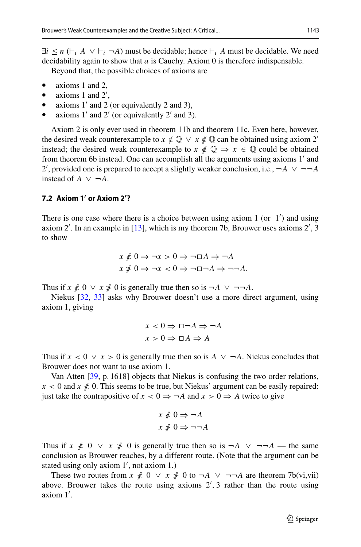$\exists i \leq n \ (\vdash_i A \lor \vdash_i \neg A)$  must be decidable; hence  $\vdash_i A$  must be decidable. We need decidability again to show that *a* is Cauchy. Axiom 0 is therefore indispensable.

Beyond that, the possible choices of axioms are

- axioms 1 and 2.
- $\bullet$  axioms 1 and 2',
- axioms  $1'$  and  $2$  (or equivalently  $2$  and  $3$ ),
- axioms  $1'$  and  $2'$  (or equivalently  $2'$  and 3).

Axiom 2 is only ever used in theorem 11b and theorem 11c. Even here, however, the desired weak counterexample to  $x \notin \mathbb{Q} \lor x \notin \mathbb{Q}$  can be obtained using axiom 2' instead; the desired weak counterexample to  $x \notin \mathbb{Q} \implies x \in \mathbb{Q}$  could be obtained from theorem 6b instead. One can accomplish all the arguments using axioms 1' and 2', provided one is prepared to accept a slightly weaker conclusion, i.e.,  $\neg A \lor \neg \neg A$ instead of  $A \vee \neg A$ .

# **7.2 Axiom 1- or Axiom 2- ?**

There is one case where there is a choice between using axiom 1 (or 1') and using axiom 2'. In an example in [\[13\]](#page-44-8), which is my theorem 7b, Brouwer uses axioms 2', 3 to show

$$
x \not\equiv 0 \Rightarrow \neg x > 0 \Rightarrow \neg \Box A \Rightarrow \neg A
$$
\n
$$
x \not\equiv 0 \Rightarrow \neg x < 0 \Rightarrow \neg \Box \neg A \Rightarrow \neg \neg A.
$$

Thus if  $x \not\equiv 0 \lor x \not\equiv 0$  is generally true then so is  $\neg A \lor \neg \neg A$ .

Niekus [\[32,](#page-45-4) [33\]](#page-45-19) asks why Brouwer doesn't use a more direct argument, using axiom 1, giving

$$
x < 0 \Rightarrow \Box \neg A \Rightarrow \neg A
$$

$$
x > 0 \Rightarrow \Box A \Rightarrow A
$$

Thus if  $x < 0 \vee x > 0$  is generally true then so is  $A \vee \neg A$ . Niekus concludes that Brouwer does not want to use axiom 1.

Van Atten [\[39,](#page-45-0) p. 1618] objects that Niekus is confusing the two order relations,  $x < 0$  and  $x \not\le 0$ . This seems to be true, but Niekus' argument can be easily repaired: just take the contrapositive of  $x < 0 \Rightarrow \neg A$  and  $x > 0 \Rightarrow A$  twice to give

$$
x \neq 0 \Rightarrow \neg A
$$
  

$$
x \neq 0 \Rightarrow \neg \neg A
$$

Thus if  $x \notin \{0 \lor x \neq 0\}$  is generally true then so is  $\neg A \lor \neg \neg A$  — the same conclusion as Brouwer reaches, by a different route. (Note that the argument can be stated using only axiom 1 , not axiom 1.)

These two routes from  $x \notin \{0 \lor x \notin \{0 \text{ to } \neg A \lor \neg \neg A \text{ are theorem } \exists b(vi,vii)}\}$ above. Brouwer takes the route using axioms 2 *,* 3 rather than the route using axiom 1 .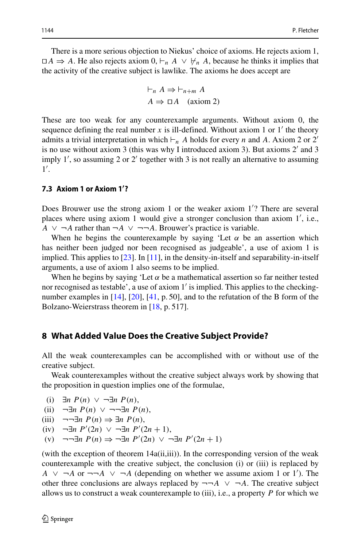There is a more serious objection to Niekus' choice of axioms. He rejects axiom 1,  $\Box A$  ⇒ *A*. He also rejects axiom 0,  $\vdash_n A$   $\lor$   $\nvdash_n A$ , because he thinks it implies that the activity of the creative subject is lawlike. The axioms he does accept are

$$
\vdash_n A \Rightarrow \vdash_{n+m} A
$$
  

$$
A \Rightarrow \Box A \quad \text{(axiom 2)}
$$

These are too weak for any counterexample arguments. Without axiom 0, the sequence defining the real number  $x$  is ill-defined. Without axiom 1 or 1' the theory admits a trivial interpretation in which  $\vdash_n A$  holds for every *n* and *A*. Axiom 2 or 2' is no use without axiom 3 (this was why I introduced axiom 3). But axioms  $2'$  and 3 imply  $1'$ , so assuming 2 or  $2'$  together with 3 is not really an alternative to assuming 1 .

# **7.3 Axiom 1 or Axiom 1- ?**

Does Brouwer use the strong axiom 1 or the weaker axiom 1 ? There are several places where using axiom 1 would give a stronger conclusion than axiom 1', i.e., *A* ∨ ¬*A* rather than ¬*A* ∨ ¬¬*A*. Brouwer's practice is variable.

When he begins the counterexample by saying 'Let  $\alpha$  be an assertion which has neither been judged nor been recognised as judgeable', a use of axiom 1 is implied. This applies to [\[23\]](#page-45-13). In [\[11\]](#page-44-9), in the density-in-itself and separability-in-itself arguments, a use of axiom 1 also seems to be implied.

When he begins by saying 'Let  $\alpha$  be a mathematical assertion so far neither tested nor recognised as testable', a use of axiom 1' is implied. This applies to the checkingnumber examples in [\[14\]](#page-44-10), [\[20\]](#page-45-9), [\[41,](#page-46-1) p. 50], and to the refutation of the B form of the Bolzano-Weierstrass theorem in [\[18,](#page-45-17) p. 517].

#### **8 What Added Value Does the Creative Subject Provide?**

All the weak counterexamples can be accomplished with or without use of the creative subject.

Weak counterexamples without the creative subject always work by showing that the proposition in question implies one of the formulae,

(i) ∃*n P(n)* ∨ ¬∃*n P(n)*,

(ii) 
$$
\neg \exists n \ P(n) \lor \neg \neg \exists n \ P(n),
$$

(iii) ¬¬∃*n P(n)* ⇒ ∃*n P(n)*,

 $(iv)$  ¬∃*n*  $P'(2n)$  ∨ ¬∃*n*  $P'(2n + 1)$ ,

(v) 
$$
\neg \neg \exists n \ P(n) \Rightarrow \neg \exists n \ P'(2n) \lor \neg \exists n \ P'(2n+1)
$$

(with the exception of theorem  $14a(i,jii)$ ). In the corresponding version of the weak counterexample with the creative subject, the conclusion (i) or (iii) is replaced by *A* ∨  $\neg$ *A* or  $\neg\neg A$  ∨  $\neg$ *A* (depending on whether we assume axiom 1 or 1'). The other three conclusions are always replaced by  $\neg\neg A \lor \neg A$ . The creative subject allows us to construct a weak counterexample to (iii), i.e., a property *P* for which we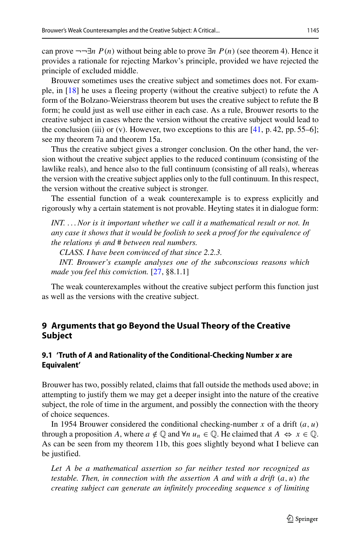can prove ¬¬∃*n P(n)* without being able to prove ∃*n P(n)* (see theorem 4). Hence it provides a rationale for rejecting Markov's principle, provided we have rejected the principle of excluded middle.

Brouwer sometimes uses the creative subject and sometimes does not. For example, in [\[18\]](#page-45-17) he uses a fleeing property (without the creative subject) to refute the A form of the Bolzano-Weierstrass theorem but uses the creative subject to refute the B form; he could just as well use either in each case. As a rule, Brouwer resorts to the creative subject in cases where the version without the creative subject would lead to the conclusion (iii) or (v). However, two exceptions to this are  $[41, p. 42, pp. 55-6]$  $[41, p. 42, pp. 55-6]$ ; see my theorem 7a and theorem 15a.

Thus the creative subject gives a stronger conclusion. On the other hand, the version without the creative subject applies to the reduced continuum (consisting of the lawlike reals), and hence also to the full continuum (consisting of all reals), whereas the version with the creative subject applies only to the full continuum. In this respect, the version without the creative subject is stronger.

The essential function of a weak counterexample is to express explicitly and rigorously why a certain statement is not provable. Heyting states it in dialogue form:

*INT. . . . Nor is it important whether we call it a mathematical result or not. In any case it shows that it would be foolish to seek a proof for the equivalence of the relations*  $\neq$  *and*  $\#$  *between real numbers.* 

*CLASS. I have been convinced of that since 2.2.3.*

*INT. Brouwer's example analyses one of the subconscious reasons which made you feel this conviction.* [\[27,](#page-45-2) §8.1.1]

The weak counterexamples without the creative subject perform this function just as well as the versions with the creative subject.

# **9 Arguments that go Beyond the Usual Theory of the Creative Subject**

### **9.1 'Truth of <sup>A</sup> and Rationality of the Conditional-Checking Number <sup>x</sup> are Equivalent'**

Brouwer has two, possibly related, claims that fall outside the methods used above; in attempting to justify them we may get a deeper insight into the nature of the creative subject, the role of time in the argument, and possibly the connection with the theory of choice sequences.

In 1954 Brouwer considered the conditional checking-number *x* of a drift *(a, u)* through a proposition *A*, where  $a \notin \mathbb{Q}$  and  $\forall n \ u_n \in \mathbb{Q}$ . He claimed that  $A \Leftrightarrow x \in \mathbb{Q}$ . As can be seen from my theorem 11b, this goes slightly beyond what I believe can be justified.

*Let A be a mathematical assertion so far neither tested nor recognized as testable. Then, in connection with the assertion A and with a drift (a, u) the creating subject can generate an infinitely proceeding sequence s of limiting*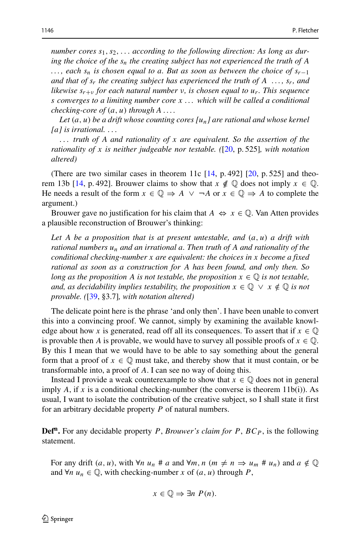*number cores s*1*, s*2*,... according to the following direction: As long as during the choice of the sn the creating subject has not experienced the truth of A . . . , each sn is chosen equal to a. But as soon as between the choice of sr*<sup>−</sup><sup>1</sup> *and that of*  $s_r$  *the creating subject has experienced the truth of*  $A$   $\dots$ ,  $s_r$ *, and likewise sr*<sup>+</sup>*<sup>ν</sup> for each natural number ν, is chosen equal to ur. This sequence s converges to a limiting number core x . . . which will be called a conditional checking-core of (a, u) through A ....*

*Let (a, u) be a drift whose counting cores [un] are rational and whose kernel [a] is irrational. ...*

*... truth of A and rationality of x are equivalent. So the assertion of the rationality of x is neither judgeable nor testable. (*[\[20,](#page-45-9) p. 525]*, with notation altered)*

(There are two similar cases in theorem 11c  $[14, p.492]$  $[14, p.492]$   $[20, p.525]$  $[20, p.525]$  and theo-rem 13b [\[14,](#page-44-10) p. 492]. Brouwer claims to show that  $x \notin \mathbb{Q}$  does not imply  $x \in \mathbb{Q}$ . He needs a result of the form  $x \in \mathbb{Q} \Rightarrow A \lor \neg A$  or  $x \in \mathbb{Q} \Rightarrow A$  to complete the argument.)

Brouwer gave no justification for his claim that  $A \Leftrightarrow x \in \mathbb{Q}$ . Van Atten provides a plausible reconstruction of Brouwer's thinking:

*Let A be a proposition that is at present untestable, and (a, u) a drift with rational numbers un and an irrational a. Then truth of A and rationality of the conditional checking-number x are equivalent: the choices in x become a fixed rational as soon as a construction for A has been found, and only then. So long as the proposition A is not testable, the proposition*  $x \in \mathbb{Q}$  *is not testable, and, as decidability implies testability, the proposition*  $x \in \mathbb{Q} \lor x \notin \mathbb{Q}$  *is not provable. (*[\[39,](#page-45-0) §3.7]*, with notation altered)*

The delicate point here is the phrase 'and only then'. I have been unable to convert this into a convincing proof. We cannot, simply by examining the available knowledge about how *x* is generated, read off all its consequences. To assert that if  $x \in \mathbb{Q}$ is provable then *A* is provable, we would have to survey all possible proofs of  $x \in \mathbb{Q}$ . By this I mean that we would have to be able to say something about the general form that a proof of  $x \in \mathbb{Q}$  must take, and thereby show that it must contain, or be transformable into, a proof of *A*. I can see no way of doing this.

Instead I provide a weak counterexample to show that  $x \in \mathbb{Q}$  does not in general imply  $A$ , if  $x$  is a conditional checking-number (the converse is theorem 11b(i)). As usual, I want to isolate the contribution of the creative subject, so I shall state it first for an arbitrary decidable property *P* of natural numbers.

**Defn.** For any decidable property *P*, *Brouwer's claim for P*, *BCP* , is the following statement.

For any drift  $(a, u)$ , with  $\forall n \ u_n \# a$  and  $\forall m, n \ (m \neq n \Rightarrow u_m \# u_n)$  and  $a \notin \mathbb{Q}$ and ∀*n*  $u_n$  ∈ ℚ, with checking-number *x* of  $(a, u)$  through *P*,

$$
x \in \mathbb{Q} \Rightarrow \exists n \ P(n).
$$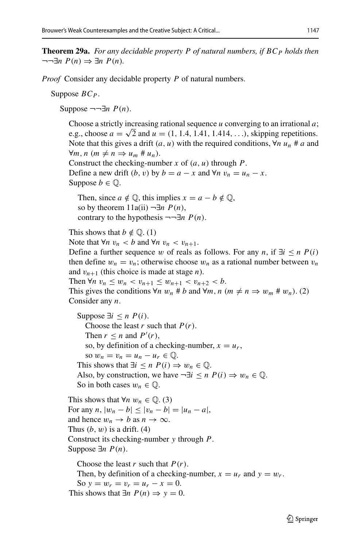**Theorem 29a.** For any decidable property P of natural numbers, if BC<sub>P</sub> holds then  $\neg\neg\exists n P(n) \Rightarrow \exists n P(n)$ *.* 

*Proof* Consider any decidable property *P* of natural numbers.

Suppose *BCP* .

Suppose ¬¬∃*n P(n)*.

Choose a strictly increasing rational sequence *u* converging to an irrational *a*; e.g., choose  $a = \sqrt{2}$  and  $u = (1, 1.4, 1.41, 1.414, ...)$ , skipping repetitions. Note that this gives a drift  $(a, u)$  with the required conditions,  $\forall n \ u_n \# a$  and  $\forall m, n \ (m \neq n \Rightarrow u_m \neq u_n).$ Construct the checking-number *x* of *(a, u)* through *P*. Define a new drift  $(b, v)$  by  $b = a - x$  and  $\forall n \ v_n = u_n - x$ . Suppose  $b \in \mathbb{Q}$ . Then, since  $a \notin \mathbb{Q}$ , this implies  $x = a - b \notin \mathbb{Q}$ , so by theorem 11a(ii) ¬∃*n P(n)*, contrary to the hypothesis ¬¬∃*n P(n)*. This shows that  $b \notin \mathbb{Q}$ . (1) Note that  $\forall n \ v_n < b$  and  $\forall n \ v_n < v_{n+1}$ . Define a further sequence *w* of reals as follows. For any *n*, if  $\exists i \leq n \ P(i)$ then define  $w_n = v_n$ ; otherwise choose  $w_n$  as a rational number between  $v_n$ and  $v_{n+1}$  (this choice is made at stage *n*). Then ∀*n*  $v_n \leq w_n < v_{n+1} \leq w_{n+1} < v_{n+2} < b$ . This gives the conditions  $\forall n \ w_n \# b$  and  $\forall m, n \ (m \neq n \Rightarrow w_m \# w_n)$ . (2) Consider any *n*. Suppose  $∃i ≤ n P(i)$ . Choose the least *r* such that *P(r)*. Then  $r \leq n$  and  $P'(r)$ , so, by definition of a checking-number,  $x = u_r$ , so  $w_n = v_n = u_n - u_r \in \mathbb{Q}$ . This shows that  $\exists i \leq n \ P(i) \Rightarrow w_n \in \mathbb{Q}$ . Also, by construction, we have  $\neg \exists i \leq n \ P(i) \Rightarrow w_n \in \mathbb{Q}$ . So in both cases  $w_n \in \mathbb{Q}$ . This shows that  $\forall n \ w_n \in \mathbb{Q}$ . (3) For any *n*,  $|w_n - b| \le |v_n - b| = |u_n - a|$ , and hence  $w_n \to b$  as  $n \to \infty$ . Thus  $(b, w)$  is a drift.  $(4)$ Construct its checking-number *y* through *P*. Suppose ∃*n P(n)*. Choose the least *r* such that *P(r)*. Then, by definition of a checking-number,  $x = u_r$  and  $y = w_r$ . So  $y = w_r = v_r = u_r - x = 0$ . This shows that  $\exists n \ P(n) \Rightarrow y = 0$ .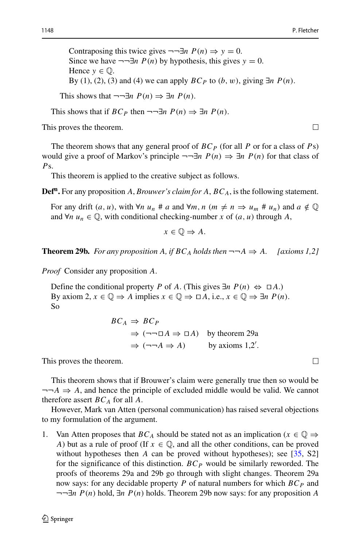Contraposing this twice gives  $\neg\neg \exists n \ P(n) \Rightarrow y = 0$ . Since we have  $\neg\neg \exists n \ P(n)$  by hypothesis, this gives  $y = 0$ . Hence  $v \in \mathbb{Q}$ . By (1), (2), (3) and (4) we can apply  $BC_P$  to  $(b, w)$ , giving  $\exists n \ P(n)$ . This shows that  $\neg \exists n \ P(n) \Rightarrow \exists n \ P(n)$ .

This shows that if  $BC_P$  then  $\neg\neg \exists n \ P(n) \Rightarrow \exists n \ P(n)$ .

This proves the theorem.

The theorem shows that any general proof of *BCP* (for all *P* or for a class of *P*s) would give a proof of Markov's principle ¬¬∃*n P(n)* ⇒ ∃*n P(n)* for that class of *P*s.

This theorem is applied to the creative subject as follows.

**Defn.** For any proposition *A*, *Brouwer's claim for A*, *BCA*, is the following statement.

For any drift  $(a, u)$ , with  $\forall n \ u_n \# a$  and  $\forall m, n \ (m \neq n \Rightarrow u_m \# u_n)$  and  $a \notin \mathbb{Q}$ and ∀*n*  $u_n$  ∈ ℚ, with conditional checking-number *x* of  $(a, u)$  through *A*,

 $x \in \mathbb{Q} \Rightarrow A$ .

**Theorem 29b.** For any proposition A, if  $BC_A$  holds then  $\neg\neg A \Rightarrow A$ . [axioms 1,2]

*Proof* Consider any proposition *A*.

Define the conditional property *P* of *A*. (This gives  $\exists n \ P(n) \Leftrightarrow \Box A$ .) By axiom 2,  $x \in \mathbb{Q} \Rightarrow A$  implies  $x \in \mathbb{Q} \Rightarrow \Box A$ , i.e.,  $x \in \mathbb{Q} \Rightarrow \exists n \ P(n)$ . So

$$
BC_A \Rightarrow BC_P
$$
  
\n
$$
\Rightarrow (\neg \neg \Box A \Rightarrow \Box A) \text{ by theorem 29a}
$$
  
\n
$$
\Rightarrow (\neg \neg A \Rightarrow A) \text{ by axioms 1,2'}.
$$

This proves the theorem.

This theorem shows that if Brouwer's claim were generally true then so would be  $\neg\neg A \Rightarrow A$ , and hence the principle of excluded middle would be valid. We cannot therefore assert  $BC_A$  for all  $A$ .

However, Mark van Atten (personal communication) has raised several objections to my formulation of the argument.

1. Van Atten proposes that *BC<sub>A</sub>* should be stated not as an implication ( $x \in \mathbb{Q} \Rightarrow$ *A*) but as a rule of proof (If  $x \in \mathbb{Q}$ , and all the other conditions, can be proved without hypotheses then *A* can be proved without hypotheses); see [\[35,](#page-45-20) S2] for the significance of this distinction.  $BC_P$  would be similarly reworded. The proofs of theorems 29a and 29b go through with slight changes. Theorem 29a now says: for any decidable property *P* of natural numbers for which *BC<sub>P</sub>* and ¬¬∃*n P(n)* hold, ∃*n P(n)* holds. Theorem 29b now says: for any proposition *A*

 $\Box$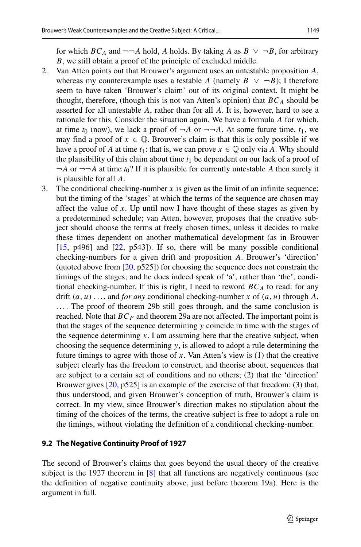for which  $BC_A$  and  $\neg\neg A$  hold, A holds. By taking A as  $B \lor \neg B$ , for arbitrary *B*, we still obtain a proof of the principle of excluded middle.

- 2. Van Atten points out that Brouwer's argument uses an untestable proposition *A*, whereas my counterexample uses a testable *A* (namely  $B \vee \neg B$ ); I therefore seem to have taken 'Brouwer's claim' out of its original context. It might be thought, therefore, (though this is not van Atten's opinion) that  $BC_A$  should be asserted for all untestable *A*, rather than for all *A*. It is, however, hard to see a rationale for this. Consider the situation again. We have a formula *A* for which, at time  $t_0$  (now), we lack a proof of  $\neg A$  or  $\neg \neg A$ . At some future time,  $t_1$ , we may find a proof of  $x \in \mathbb{Q}$ . Brouwer's claim is that this is only possible if we have a proof of *A* at time  $t_1$ : that is, we can prove  $x \in \mathbb{Q}$  only via *A*. Why should the plausibility of this claim about time  $t_1$  be dependent on our lack of a proof of  $\neg A$  or  $\neg \neg A$  at time  $t_0$ ? If it is plausible for currently untestable A then surely it is plausible for all *A*.
- 3. The conditional checking-number  $x$  is given as the limit of an infinite sequence; but the timing of the 'stages' at which the terms of the sequence are chosen may affect the value of *x*. Up until now I have thought of these stages as given by a predetermined schedule; van Atten, however, proposes that the creative subject should choose the terms at freely chosen times, unless it decides to make these times dependent on another mathematical development (as in Brouwer  $[15, p496]$  $[15, p496]$  and  $[22, p543]$  $[22, p543]$ ). If so, there will be many possible conditional checking-numbers for a given drift and proposition *A*. Brouwer's 'direction' (quoted above from [\[20,](#page-45-9) p525]) for choosing the sequence does not constrain the timings of the stages; and he does indeed speak of 'a', rather than 'the', conditional checking-number. If this is right, I need to reword *BCA* to read: for any drift  $(a, u)$  ..., and *for any* conditional checking-number *x* of  $(a, u)$  through *A*,

.... The proof of theorem 29b still goes through, and the same conclusion is reached. Note that  $BC_P$  and theorem 29a are not affected. The important point is that the stages of the sequence determining *y* coincide in time with the stages of the sequence determining  $x$ . I am assuming here that the creative subject, when choosing the sequence determining *y*, is allowed to adopt a rule determining the future timings to agree with those of  $x$ . Van Atten's view is  $(1)$  that the creative subject clearly has the freedom to construct, and theorise about, sequences that are subject to a certain set of conditions and no others; (2) that the 'direction' Brouwer gives [\[20,](#page-45-9) p525] is an example of the exercise of that freedom; (3) that, thus understood, and given Brouwer's conception of truth, Brouwer's claim is correct. In my view, since Brouwer's direction makes no stipulation about the timing of the choices of the terms, the creative subject is free to adopt a rule on the timings, without violating the definition of a conditional checking-number.

### **9.2 The Negative Continuity Proof of 1927**

The second of Brouwer's claims that goes beyond the usual theory of the creative subject is the 1927 theorem in [\[8\]](#page-44-12) that all functions are negatively continuous (see the definition of negative continuity above, just before theorem 19a). Here is the argument in full.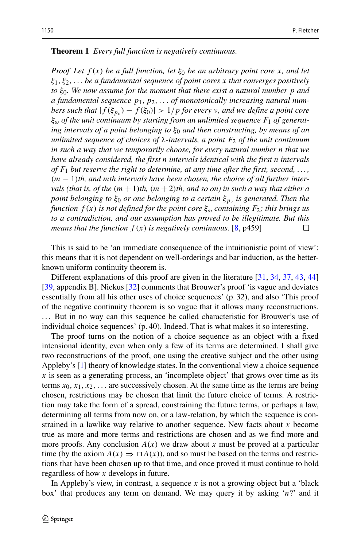#### **Theorem 1** *Every full function is negatively continuous.*

*Proof Let f (x) be a full function, let ξ*<sup>0</sup> *be an arbitrary point core x, and let ξ*1*, ξ*2*,... be a fundamental sequence of point cores x that converges positively to ξ*0*. We now assume for the moment that there exist a natural number p and a fundamental sequence p*1*, p*2*,... of monotonically increasing natural numbers such that*  $|f(\xi_{p_v}) - f(\xi_0)| > 1/p$  *for every v, and we define a point core ξω of the unit continuum by starting from an unlimited sequence F*<sup>1</sup> *of generating intervals of a point belonging to ξ*<sup>0</sup> *and then constructing, by means of an unlimited sequence of choices of λ-intervals, a point F*<sup>2</sup> *of the unit continuum in such a way that we temporarily choose, for every natural number n that we have already considered, the first n intervals identical with the first n intervals of F*<sup>1</sup> *but reserve the right to determine, at any time after the first, second, ..., (m* − 1*)th, and mth intervals have been chosen, the choice of all further intervals (that is, of the*  $(m + 1)$ *th,*  $(m + 2)$ *th, and so on) in such a way that either a point belonging to*  $\xi_0$  *or one belonging to a certain*  $\xi_{p_v}$  *is generated. Then the function f (x) is not defined for the point core ξω containing F*2*; this brings us to a contradiction, and our assumption has proved to be illegitimate. But this means that the function*  $f(x)$  *is negatively continuous.* [\[8,](#page-44-12) p459]

This is said to be 'an immediate consequence of the intuitionistic point of view': this means that it is not dependent on well-orderings and bar induction, as the betterknown uniform continuity theorem is.

Different explanations of this proof are given in the literature [\[31,](#page-45-21) [34,](#page-45-22) [37,](#page-45-23) [43,](#page-46-3) [44\]](#page-46-4) [\[39,](#page-45-0) appendix B]. Niekus [\[32\]](#page-45-4) comments that Brouwer's proof 'is vague and deviates essentially from all his other uses of choice sequences' (p. 32), and also 'This proof of the negative continuity theorem is so vague that it allows many reconstructions. . . . But in no way can this sequence be called characteristic for Brouwer's use of individual choice sequences' (p. 40). Indeed. That is what makes it so interesting.

The proof turns on the notion of a choice sequence as an object with a fixed intensional identity, even when only a few of its terms are determined. I shall give two reconstructions of the proof, one using the creative subject and the other using Appleby's [\[1\]](#page-44-4) theory of knowledge states. In the conventional view a choice sequence *x* is seen as a generating process, an 'incomplete object' that grows over time as its terms  $x_0, x_1, x_2, \ldots$  are successively chosen. At the same time as the terms are being chosen, restrictions may be chosen that limit the future choice of terms. A restriction may take the form of a spread, constraining the future terms, or perhaps a law, determining all terms from now on, or a law-relation, by which the sequence is constrained in a lawlike way relative to another sequence. New facts about *x* become true as more and more terms and restrictions are chosen and as we find more and more proofs. Any conclusion  $A(x)$  we draw about x must be proved at a particular time (by the axiom  $A(x) \Rightarrow \Box A(x)$ ), and so must be based on the terms and restrictions that have been chosen up to that time, and once proved it must continue to hold regardless of how *x* develops in future.

In Appleby's view, in contrast, a sequence *x* is not a growing object but a 'black box' that produces any term on demand. We may query it by asking '*n*?' and it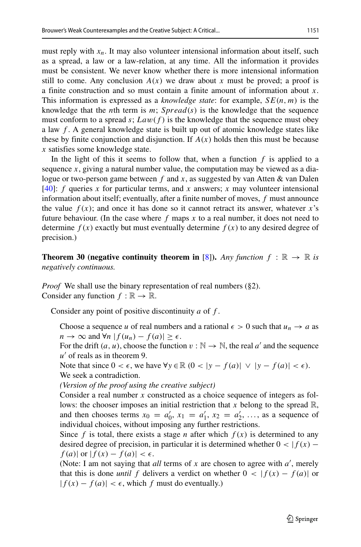must reply with  $x_n$ . It may also volunteer intensional information about itself, such as a spread, a law or a law-relation, at any time. All the information it provides must be consistent. We never know whether there is more intensional information still to come. Any conclusion  $A(x)$  we draw about x must be proved; a proof is a finite construction and so must contain a finite amount of information about *x*. This information is expressed as a *knowledge state*: for example, *SE(n, m)* is the knowledge that the *n*th term is *m*; *Spread(s)* is the knowledge that the sequence must conform to a spread  $s$ ;  $Law(f)$  is the knowledge that the sequence must obey a law *f* . A general knowledge state is built up out of atomic knowledge states like these by finite conjunction and disjunction. If  $A(x)$  holds then this must be because *x* satisfies some knowledge state.

In the light of this it seems to follow that, when a function  $f$  is applied to a sequence *x*, giving a natural number value, the computation may be viewed as a dialogue or two-person game between *f* and *x*, as suggested by van Atten & van Dalen [\[40\]](#page-46-5): *f* queries *x* for particular terms, and *x* answers; *x* may volunteer intensional information about itself; eventually, after a finite number of moves, *f* must announce the value  $f(x)$ ; and once it has done so it cannot retract its answer, whatever x's future behaviour. (In the case where *f* maps *x* to a real number, it does not need to determine  $f(x)$  exactly but must eventually determine  $f(x)$  to any desired degree of precision.)

**Theorem 30 (negative continuity theorem in** [\[8\]](#page-44-12)). *Any function*  $f : \mathbb{R} \to \mathbb{R}$  *is negatively continuous.*

*Proof* We shall use the binary representation of real numbers (§2). Consider any function  $f : \mathbb{R} \to \mathbb{R}$ .

Consider any point of positive discontinuity *a* of *f* .

Choose a sequence *u* of real numbers and a rational  $\epsilon > 0$  such that  $u_n \to a$  as  $n \to \infty$  and  $\forall n |f(u_n) - f(a)| \geq \epsilon$ .

For the drift  $(a, u)$ , choose the function  $v : \mathbb{N} \to \mathbb{N}$ , the real  $a'$  and the sequence *u* of reals as in theorem 9.

Note that since  $0 < \epsilon$ , we have  $\forall y \in \mathbb{R}$   $(0 < |y - f(a)| \lor |y - f(a)| < \epsilon)$ . We seek a contradiction.

*(Version of the proof using the creative subject)*

Consider a real number *x* constructed as a choice sequence of integers as follows: the chooser imposes an initial restriction that  $x$  belong to the spread  $\mathbb{R}$ , and then chooses terms  $x_0 = a'_0$ ,  $x_1 = a'_1$ ,  $x_2 = a'_2$ , ..., as a sequence of individual choices, without imposing any further restrictions.

Since  $f$  is total, there exists a stage  $n$  after which  $f(x)$  is determined to any desired degree of precision, in particular it is determined whether  $0 < |f(x) -$ *f*(*a*)| or  $|f(x) - f(a)| < \epsilon$ .

(Note: I am not saying that  $all$  terms of  $x$  are chosen to agree with  $a'$ , merely that this is done *until*  $f$  delivers a verdict on whether  $0 < |f(x) - f(a)|$  or  $|f(x) - f(a)| < \epsilon$ , which *f* must do eventually.)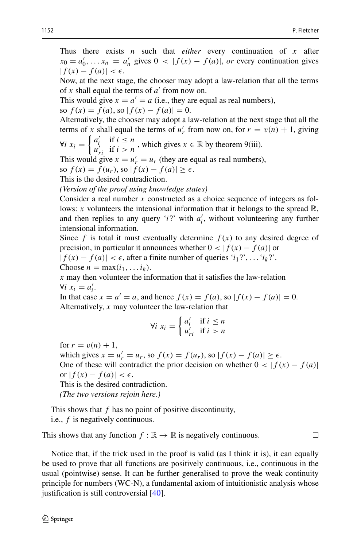Thus there exists *n* such that *either* every continuation of *x* after  $x_0 = a'_0, \ldots, x_n = a'_n$  gives  $0 < |f(x) - f(a)|$ , *or* every continuation gives  $|f(x) - f(a)| < \epsilon$ .

Now, at the next stage, the chooser may adopt a law-relation that all the terms of x shall equal the terms of  $a'$  from now on.

This would give  $x = a' = a$  (i.e., they are equal as real numbers),

so  $f(x) = f(a)$ , so  $|f(x) - f(a)| = 0$ .

Alternatively, the chooser may adopt a law-relation at the next stage that all the terms of *x* shall equal the terms of  $u'_r$  from now on, for  $r = v(n) + 1$ , giving  $\int$ *a* $\int$  $if i < n$ 

$$
\forall i \ x_i = \begin{cases} a_i & \text{if } i \leq n \\ u'_{ri} & \text{if } i > n \end{cases}
$$
, which gives  $x \in \mathbb{R}$  by theorem 9(iii).

This would give  $x = u'_r = u_r$  (they are equal as real numbers),

so  $f(x) = f(u_r)$ , so  $|f(x) - f(a)| \ge \epsilon$ .

This is the desired contradiction.

*(Version of the proof using knowledge states)*

Consider a real number *x* constructed as a choice sequence of integers as follows: *x* volunteers the intensional information that it belongs to the spread  $\mathbb{R}$ , and then replies to any query '*i*?' with  $a'_i$ , without volunteering any further intensional information.

Since  $f$  is total it must eventually determine  $f(x)$  to any desired degree of precision, in particular it announces whether  $0 < |f(x) - f(a)|$  or

 $|f(x) - f(a)| < \epsilon$ , after a finite number of queries '*i*<sub>1</sub>?', ... '*i<sub>k</sub>*?'. Choose  $n = \max(i_1, \ldots, i_k)$ .

*x* may then volunteer the information that it satisfies the law-relation  $\forall i \; x_i = a'_i.$ 

In that case  $x = a' = a$ , and hence  $f(x) = f(a)$ , so  $|f(x) - f(a)| = 0$ . Alternatively, *x* may volunteer the law-relation that

$$
\forall i \; x_i = \begin{cases} a'_i & \text{if } i \le n \\ u'_{ri} & \text{if } i > n \end{cases}
$$

for  $r = v(n) + 1$ ,

which gives  $x = u'_r = u_r$ , so  $f(x) = f(u_r)$ , so  $|f(x) - f(a)| \ge \epsilon$ . One of these will contradict the prior decision on whether  $0 < |f(x) - f(a)|$ or  $|f(x) - f(a)| < \epsilon$ . This is the desired contradiction.

*(The two versions rejoin here.)*

This shows that *f* has no point of positive discontinuity, i.e., *f* is negatively continuous.

This shows that any function  $f : \mathbb{R} \to \mathbb{R}$  is negatively continuous.  $\Box$ 

Notice that, if the trick used in the proof is valid (as I think it is), it can equally be used to prove that all functions are positively continuous, i.e., continuous in the usual (pointwise) sense. It can be further generalised to prove the weak continuity principle for numbers (WC-N), a fundamental axiom of intuitionistic analysis whose justification is still controversial [\[40\]](#page-46-5).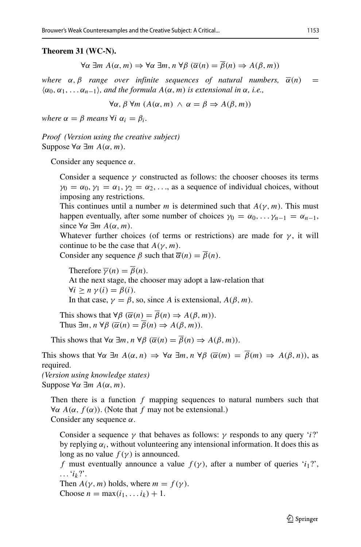#### **Theorem 31 (WC-N).**

$$
\forall \alpha \ \exists m \ A(\alpha, m) \Rightarrow \forall \alpha \ \exists m, n \ \forall \beta \ (\overline{\alpha}(n) = \overline{\beta}(n) \Rightarrow A(\beta, m))
$$

*where*  $\alpha, \beta$  *range over infinite sequences of natural numbers,*  $\overline{\alpha}(n)$ *α*0*, α*1*,...αn*<sup>−</sup>1*, and the formula A(α, m) is extensional in α, i.e.,*

∀*α, β* ∀*m (A(α, m)* ∧ *α* = *β* ⇒ *A(β, m))*

*where*  $\alpha = \beta$  *means*  $\forall i \alpha_i = \beta_i$ *.* 

*Proof (Version using the creative subject)* Suppose ∀*α* ∃*m A(α, m)*.

Consider any sequence *α*.

Consider a sequence  $\gamma$  constructed as follows: the chooser chooses its terms  $\gamma_0 = \alpha_0, \gamma_1 = \alpha_1, \gamma_2 = \alpha_2, \ldots$ , as a sequence of individual choices, without imposing any restrictions.

This continues until a number *m* is determined such that *A(γ, m)*. This must happen eventually, after some number of choices  $\gamma_0 = \alpha_0, \dots, \gamma_{n-1} = \alpha_{n-1}$ , since  $\forall \alpha \exists m \ A(\alpha, m)$ .

Whatever further choices (of terms or restrictions) are made for  $\gamma$ , it will continue to be the case that *A(γ, m)*.

Consider any sequence  $\beta$  such that  $\overline{\alpha}(n) = \overline{\beta}(n)$ .

Therefore  $\overline{\gamma}(n) = \overline{\beta}(n)$ . At the next stage, the chooser may adopt a law-relation that  $\forall i > n \gamma(i) = \beta(i).$ In that case,  $\gamma = \beta$ , so, since *A* is extensional,  $A(\beta, m)$ .

This shows that  $\forall \beta$  ( $\overline{\alpha}(n) = \overline{\beta}(n) \Rightarrow A(\beta, m)$ ). Thus  $\exists m, n \forall \beta$  ( $\overline{\alpha}(n) = \overline{\beta}(n) \Rightarrow A(\beta, m)$ ).

This shows that  $\forall \alpha \exists m, n \forall \beta \ (\overline{\alpha}(n) = \overline{\beta}(n) \Rightarrow A(\beta, m)).$ 

This shows that  $\forall \alpha \exists n \ A(\alpha, n) \Rightarrow \forall \alpha \ \exists m, n \ \forall \beta \ (\overline{\alpha}(m) = \overline{\beta}(m) \Rightarrow A(\beta, n))$ , as required. *(Version using knowledge states)*

Suppose ∀*α* ∃*m A(α, m)*.

Then there is a function *f* mapping sequences to natural numbers such that ∀*α A(α, f (α))*. (Note that *f* may not be extensional.) Consider any sequence *α*.

Consider a sequence *γ* that behaves as follows: *γ* responds to any query '*i*?' by replying  $\alpha_i$ , without volunteering any intensional information. It does this as long as no value *f (γ)* is announced.

*f* must eventually announce a value  $f(\gamma)$ , after a number of queries '*i*<sub>1</sub>?', ...'*ik*?'.

Then  $A(\gamma, m)$  holds, where  $m = f(\gamma)$ . Choose  $n = \max(i_1, \ldots, i_k) + 1$ .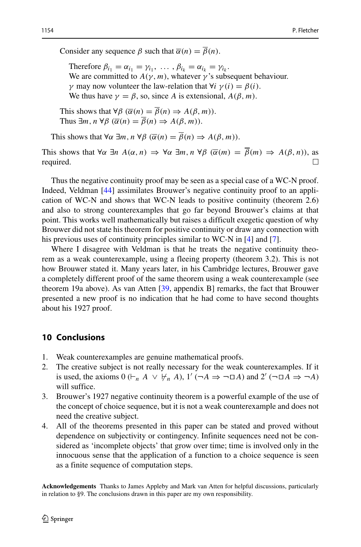Consider any sequence  $\beta$  such that  $\overline{\alpha}(n) = \overline{\beta}(n)$ .

Therefore  $\beta_{i_1} = \alpha_{i_1} = \gamma_{i_1}, \ldots, \beta_{i_k} = \alpha_{i_k} = \gamma_{i_k}.$ We are committed to  $A(\gamma, m)$ , whatever  $\gamma$ 's subsequent behaviour. *γ* may now volunteer the law-relation that  $\forall i$  *γ*(*i*) = *β*(*i*). We thus have  $\gamma = \beta$ , so, since *A* is extensional,  $A(\beta, m)$ .

This shows that  $\forall \beta$  ( $\overline{\alpha}(n) = \overline{\beta}(n) \Rightarrow A(\beta, m)$ ). Thus  $\exists m, n \; \forall \beta \; (\overline{\alpha}(n) = \overline{\beta}(n) \Rightarrow A(\beta, m)).$ 

This shows that  $\forall \alpha \exists m, n \forall \beta \ (\overline{\alpha}(n) = \overline{\beta}(n) \Rightarrow A(\beta, m)).$ 

This shows that  $\forall \alpha \exists n \ A(\alpha, n) \Rightarrow \forall \alpha \exists m, n \ \forall \beta \ (\overline{\alpha}(m) = \overline{\beta}(m) \Rightarrow A(\beta, n))$ , as required.  $\Box$ 

Thus the negative continuity proof may be seen as a special case of a WC-N proof. Indeed, Veldman [\[44\]](#page-46-4) assimilates Brouwer's negative continuity proof to an application of WC-N and shows that WC-N leads to positive continuity (theorem 2.6) and also to strong counterexamples that go far beyond Brouwer's claims at that point. This works well mathematically but raises a difficult exegetic question of why Brouwer did not state his theorem for positive continuity or draw any connection with his previous uses of continuity principles similar to WC-N in [\[4\]](#page-44-13) and [\[7\]](#page-44-14).

Where I disagree with Veldman is that he treats the negative continuity theorem as a weak counterexample, using a fleeing property (theorem 3.2). This is not how Brouwer stated it. Many years later, in his Cambridge lectures, Brouwer gave a completely different proof of the same theorem using a weak counterexample (see theorem 19a above). As van Atten [\[39,](#page-45-0) appendix B] remarks, the fact that Brouwer presented a new proof is no indication that he had come to have second thoughts about his 1927 proof.

### **10 Conclusions**

- 1. Weak counterexamples are genuine mathematical proofs.
- 2. The creative subject is not really necessary for the weak counterexamples. If it is used, the axioms  $0 \left( \vdash_n A \lor \vdash_n A \right)$ ,  $1' \left( \neg A \Rightarrow \neg \Box A \right)$  and  $2' \left( \neg \Box A \Rightarrow \neg A \right)$ will suffice.
- 3. Brouwer's 1927 negative continuity theorem is a powerful example of the use of the concept of choice sequence, but it is not a weak counterexample and does not need the creative subject.
- 4. All of the theorems presented in this paper can be stated and proved without dependence on subjectivity or contingency. Infinite sequences need not be considered as 'incomplete objects' that grow over time; time is involved only in the innocuous sense that the application of a function to a choice sequence is seen as a finite sequence of computation steps.

**Acknowledgements** Thanks to James Appleby and Mark van Atten for helpful discussions, particularly in relation to §9. The conclusions drawn in this paper are my own responsibility.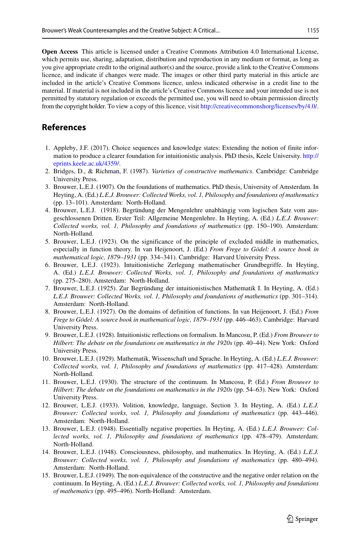you give appropriate credit to the original author(s) and the source, provide a link to the Creative Commons licence, and indicate if changes were made. The images or other third party material in this article are included in the article's Creative Commons licence, unless indicated otherwise in a credit line to the material. If material is not included in the article's Creative Commons licence and your intended use is not permitted by statutory regulation or exceeds the permitted use, you will need to obtain permission directly from the copyright holder. To view a copy of this licence, visit [http://creativecommonshorg/licenses/by/4.0/.](http://creativecommonshorg/licenses/by/4.0/)

# **References**

- <span id="page-44-4"></span>1. Appleby, J.F. (2017). Choice sequences and knowledge states: Extending the notion of finite information to produce a clearer foundation for intuitionistic analysis. PhD thesis, Keele University. [http://](http://eprints.keele.ac.uk/4359/) [eprints.keele.ac.uk/4359/.](http://eprints.keele.ac.uk/4359/)
- <span id="page-44-5"></span>2. Bridges, D., & Richman, F. (1987). *Varieties of constructive mathematics*. Cambridge: Cambridge University Press.
- <span id="page-44-3"></span>3. Brouwer, L.E.J. (1907). On the foundations of mathematics. PhD thesis, University of Amsterdam. In Heyting, A. (Ed.) *L.E.J. Brouwer: Collected Works, vol. 1, Philosophy and foundations of mathematics* (pp. 13–101). Amsterdam: North-Holland.
- <span id="page-44-13"></span>4. Brouwer, L.E.J. (1918). Begründung der Mengenlehre unabhängig vom logischen Satz vom ausgeschlossenen Dritten. Erster Teil: Allgemeine Mengenlehre. In Heyting, A. (Ed.) *L.E.J. Brouwer: Collected works, vol. 1, Philosophy and foundations of mathematics* (pp. 150–190). Amsterdam: North-Holland.
- <span id="page-44-1"></span>5. Brouwer, L.E.J. (1923). On the significance of the principle of excluded middle in mathematics, especially in function theory. In van Heijenoort, J. (Ed.) *From Frege to Gödel: A source book in mathematical logic, 1879–1931* (pp. 334–341). Cambridge: Harvard University Press.
- <span id="page-44-2"></span>6. Brouwer, L.E.J. (1923). Intuitionistiche Zerlegung mathematischer Grundbegriffe. In Heyting, A. (Ed.) *L.E.J. Brouwer: Collected Works, vol. 1, Philosophy and foundations of mathematics* (pp. 275–280). Amsterdam: North-Holland.
- <span id="page-44-14"></span>7. Brouwer, L.E.J. (1925). Zur Begründung der intuitionistischen Mathematik I. In Heyting, A. (Ed.) *L.E.J. Brouwer: Collected Works, vol. 1, Philosophy and foundations of mathematics* (pp. 301–314). Amsterdam: North-Holland.
- <span id="page-44-12"></span>8. Brouwer, L.E.J. (1927). On the domains of definition of functions. In van Heijenoort, J. (Ed.) *From Frege to G¨odel: A source book in mathematical logic, 1879–1931* (pp. 446–463). Cambridge: Harvard University Press.
- <span id="page-44-0"></span>9. Brouwer, L.E.J. (1928). Intuitionistic reflections on formalism. In Mancosu, P. (Ed.) *From Brouwer to Hilbert: The debate on the foundations on mathematics in the 1920s* (pp. 40–44). New York: Oxford University Press.
- <span id="page-44-6"></span>10. Brouwer, L.E.J. (1929). Mathematik, Wissenschaft und Sprache. In Heyting, A. (Ed.) *L.E.J. Brouwer: Collected works, vol. 1, Philosophy and foundations of mathematics* (pp. 417–428). Amsterdam: North-Holland.
- <span id="page-44-9"></span>11. Brouwer, L.E.J. (1930). The structure of the continuum. In Mancosu, P. (Ed.) *From Brouwer to Hilbert: The debate on the foundations on mathematics in the 1920s* (pp. 54–63). New York: Oxford University Press.
- <span id="page-44-7"></span>12. Brouwer, L.E.J. (1933). Volition, knowledge, language, Section 3. In Heyting, A. (Ed.) *L.E.J. Brouwer: Collected works, vol. 1, Philosophy and foundations of mathematics* (pp. 443–446). Amsterdam: North-Holland.
- <span id="page-44-8"></span>13. Brouwer, L.E.J. (1948). Essentially negative properties. In Heyting, A. (Ed.) *L.E.J. Brouwer: Collected works, vol. 1, Philosophy and foundations of mathematics* (pp. 478–479). Amsterdam: North-Holland.
- <span id="page-44-10"></span>14. Brouwer, L.E.J. (1948). Consciousness, philosophy, and mathematics. In Heyting, A. (Ed.) *L.E.J. Brouwer: Collected works, vol. 1, Philosophy and foundations of mathematics* (pp. 480–494). Amsterdam: North-Holland.
- <span id="page-44-11"></span>15. Brouwer, L.E.J. (1949). The non-equivalence of the constructive and the negative order relation on the continuum. In Heyting, A. (Ed.) *L.E.J. Brouwer: Collected works, vol. 1, Philosophy and foundations of mathematics* (pp. 495–496). North-Holland: Amsterdam.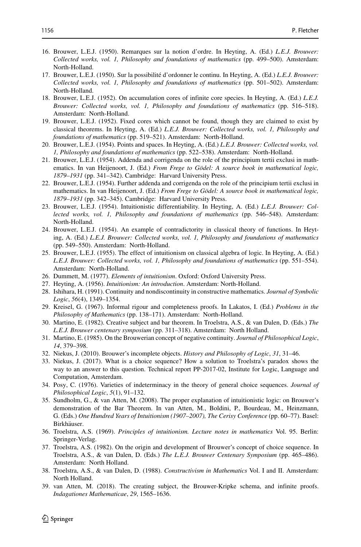- <span id="page-45-10"></span>16. Brouwer, L.E.J. (1950). Remarques sur la notion d'ordre. In Heyting, A. (Ed.) *L.E.J. Brouwer: Collected works, vol. 1, Philosophy and foundations of mathematics* (pp. 499–500). Amsterdam: North-Holland.
- <span id="page-45-11"></span>17. Brouwer, L.E.J. (1950). Sur la possibilité d'ordonner le continu. In Heyting, A. (Ed.) *L.E.J. Brouwer: Collected works, vol. 1, Philosophy and foundations of mathematics* (pp. 501–502). Amsterdam: North-Holland.
- <span id="page-45-17"></span>18. Brouwer, L.E.J. (1952). On accumulation cores of infinite core species. In Heyting, A. (Ed.) *L.E.J. Brouwer: Collected works, vol. 1, Philosophy and foundations of mathematics* (pp. 516–518). Amsterdam: North-Holland.
- <span id="page-45-18"></span>19. Brouwer, L.E.J. (1952). Fixed cores which cannot be found, though they are claimed to exist by classical theorems. In Heyting, A. (Ed.) *L.E.J. Brouwer: Collected works, vol. 1, Philosophy and foundations of mathematics* (pp. 519–521). Amsterdam: North-Holland.
- <span id="page-45-9"></span>20. Brouwer, L.E.J. (1954). Points and spaces. In Heyting, A. (Ed.) *L.E.J. Brouwer: Collected works, vol. 1, Philosophy and foundations of mathematics* (pp. 522–538). Amsterdam: North-Holland.
- <span id="page-45-16"></span>21. Brouwer, L.E.J. (1954). Addenda and corrigenda on the role of the principium tertii exclusi in mathematics. In van Heijenoort, J. (Ed.) From Frege to Gödel: A source book in mathematical logic, *1879–1931* (pp. 341–342). Cambridge: Harvard University Press.
- <span id="page-45-14"></span>22. Brouwer, L.E.J. (1954). Further addenda and corrigenda on the role of the principium tertii exclusi in mathematics. In van Heijenoort, J. (Ed.) *From Frege to Gödel: A source book in mathematical logic*, *1879–1931* (pp. 342–345). Cambridge: Harvard University Press.
- <span id="page-45-13"></span>23. Brouwer, L.E.J. (1954). Intuitionistic differentiability. In Heyting, A. (Ed.) *L.E.J. Brouwer: Collected works, vol. 1, Philosophy and foundations of mathematics* (pp. 546–548). Amsterdam: North-Holland.
- <span id="page-45-15"></span>24. Brouwer, L.E.J. (1954). An example of contradictority in classical theory of functions. In Heyting, A. (Ed.) *L.E.J. Brouwer: Collected works, vol. 1, Philosophy and foundations of mathematics* (pp. 549–550). Amsterdam: North-Holland.
- <span id="page-45-8"></span>25. Brouwer, L.E.J. (1955). The effect of intuitionism on classical algebra of logic. In Heyting, A. (Ed.) *L.E.J. Brouwer: Collected works, vol. 1, Philosophy and foundations of mathematics* (pp. 551–554). Amsterdam: North-Holland.
- <span id="page-45-3"></span>26. Dummett, M. (1977). *Elements of intuitionism*. Oxford: Oxford University Press.
- <span id="page-45-2"></span>27. Heyting, A. (1956). *Intuitionism: An introduction*. Amsterdam: North-Holland.
- <span id="page-45-12"></span>28. Ishihara, H. (1991). Continuity and nondiscontinuity in constructive mathematics. *Journal of Symbolic Logic*, *56*(4), 1349–1354.
- <span id="page-45-6"></span>29. Kreisel, G. (1967). Informal rigour and completeness proofs. In Lakatos, I. (Ed.) *Problems in the Philosophy of Mathematics* (pp. 138–171). Amsterdam: North-Holland.
- <span id="page-45-7"></span>30. Martino, E. (1982). Creative subject and bar theorem. In Troelstra, A.S., & van Dalen, D. (Eds.) *The L.E.J. Brouwer centenary symposium* (pp. 311–318). Amsterdam: North Holland.
- <span id="page-45-21"></span>31. Martino, E. (1985). On the Brouwerian concept of negative continuity. *Journal of Philosophical Logic*, *14*, 379–398.
- <span id="page-45-4"></span>32. Niekus, J. (2010). Brouwer's incomplete objects. *History and Philosophy of Logic*, *31*, 31–46.
- <span id="page-45-19"></span>33. Niekus, J. (2017). What is a choice sequence? How a solution to Troelstra's paradox shows the way to an answer to this question. Technical report PP-2017-02, Institute for Logic, Language and Computation, Amsterdam.
- <span id="page-45-22"></span>34. Posy, C. (1976). Varieties of indeterminacy in the theory of general choice sequences. *Journal of Philosophical Logic*, *5*(1), 91–132.
- <span id="page-45-20"></span>35. Sundholm, G., & van Atten, M. (2008). The proper explanation of intuitionistic logic: on Brouwer's demonstration of the Bar Theorem. In van Atten, M., Boldini, P., Bourdeau, M., Heinzmann, G. (Eds.) *One Hundred Years of Intuitionism (1907–2007), The Cerisy Conference* (pp. 60–77). Basel: Birkhäuser.
- <span id="page-45-1"></span>36. Troelstra, A.S. (1969). *Principles of intuitionism. Lecture notes in mathematics* Vol. 95. Berlin: Springer-Verlag.
- <span id="page-45-23"></span>37. Troelstra, A.S. (1982). On the origin and development of Brouwer's concept of choice sequence. In Troelstra, A.S., & van Dalen, D. (Eds.) *The L.E.J. Brouwer Centenary Symposium* (pp. 465–486). Amsterdam: North Holland.
- <span id="page-45-5"></span>38. Troelstra, A.S., & van Dalen, D. (1988). *Constructivism in Mathematics* Vol. I and II. Amsterdam: North Holland.
- <span id="page-45-0"></span>39. van Atten, M. (2018). The creating subject, the Brouwer-Kripke schema, and infinite proofs. *Indagationes Mathematicae*, *29*, 1565–1636.